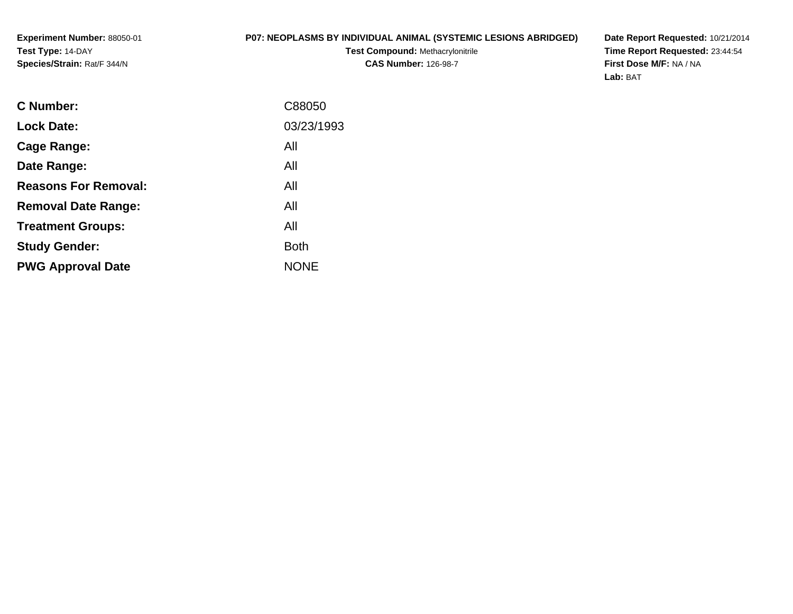## **P07: NEOPLASMS BY INDIVIDUAL ANIMAL (SYSTEMIC LESIONS ABRIDGED)**

**Test Compound:** Methacrylonitrile**CAS Number:** 126-98-7

**Date Report Requested:** 10/21/2014 **Time Report Requested:** 23:44:54**First Dose M/F:** NA / NA**Lab:** BAT

| C88050      |
|-------------|
| 03/23/1993  |
| All         |
| All         |
| All         |
| All         |
| All         |
| <b>Both</b> |
| <b>NONE</b> |
|             |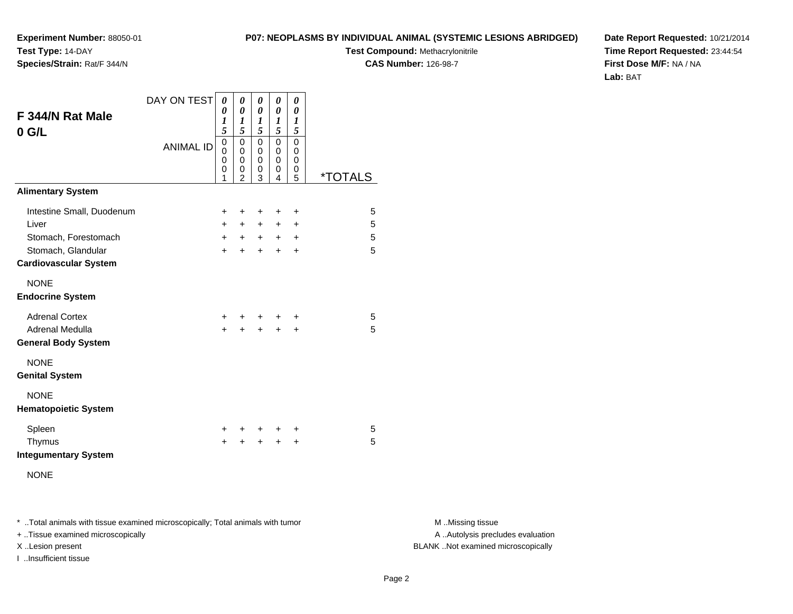#### **P07: NEOPLASMS BY INDIVIDUAL ANIMAL (SYSTEMIC LESIONS ABRIDGED)**

**Test Compound:** Methacrylonitrile

**CAS Number:** 126-98-7

**Date Report Requested:** 10/21/2014**Time Report Requested:** 23:44:54**First Dose M/F:** NA / NA**Lab:** BAT

| F 344/N Rat Male<br>$0$ G/L                        | DAY ON TEST<br><b>ANIMAL ID</b> | 0<br>0<br>1<br>5<br>0<br>$\Omega$ | 0<br>0<br>1<br>5<br>$\mathbf 0$<br>0 | 0<br>0<br>$\boldsymbol{l}$<br>5<br>$\pmb{0}$<br>0 | 0<br>0<br>$\boldsymbol{l}$<br>5<br>$\mathbf 0$<br>0 | 0<br>0<br>$\boldsymbol{l}$<br>5<br>$\mathbf 0$<br>0 |                       |
|----------------------------------------------------|---------------------------------|-----------------------------------|--------------------------------------|---------------------------------------------------|-----------------------------------------------------|-----------------------------------------------------|-----------------------|
|                                                    |                                 | 0<br>0<br>1                       | $\mathbf 0$<br>0<br>$\overline{2}$   | $\mathbf 0$<br>0<br>3                             | $\mathbf 0$<br>0<br>4                               | 0<br>0<br>5                                         | <i><b>*TOTALS</b></i> |
| <b>Alimentary System</b>                           |                                 |                                   |                                      |                                                   |                                                     |                                                     |                       |
| Intestine Small, Duodenum                          |                                 | +                                 | +                                    | +                                                 | +                                                   | +                                                   | 5                     |
| Liver                                              |                                 | $+$                               | $+$                                  | $\ddot{}$                                         | $\ddot{}$                                           | $\ddot{}$                                           | 5                     |
| Stomach, Forestomach                               |                                 | $+$                               | $+$                                  | $+$                                               | $+$                                                 | $\ddot{}$                                           | 5                     |
| Stomach, Glandular<br><b>Cardiovascular System</b> |                                 | $\ddot{}$                         | $\pm$                                | $\pm$                                             | $+$                                                 | $\ddot{}$                                           | 5                     |
| <b>NONE</b><br><b>Endocrine System</b>             |                                 |                                   |                                      |                                                   |                                                     |                                                     |                       |
| <b>Adrenal Cortex</b>                              |                                 | +                                 | ٠                                    | $\ddot{}$                                         | ÷                                                   | ÷                                                   | 5                     |
| Adrenal Medulla                                    |                                 | $\ddot{}$                         | $\ddot{}$                            | $\ddot{}$                                         | $\ddot{}$                                           | $\ddot{}$                                           | 5                     |
| <b>General Body System</b>                         |                                 |                                   |                                      |                                                   |                                                     |                                                     |                       |
| <b>NONE</b><br><b>Genital System</b>               |                                 |                                   |                                      |                                                   |                                                     |                                                     |                       |
| <b>NONE</b><br><b>Hematopoietic System</b>         |                                 |                                   |                                      |                                                   |                                                     |                                                     |                       |
| Spleen                                             |                                 | ÷.                                | ÷                                    | $\ddot{}$                                         | ÷                                                   | ÷                                                   | 5                     |
| Thymus<br><b>Integumentary System</b>              |                                 | $\ddot{}$                         | +                                    | $\ddot{}$                                         | +                                                   | $\ddot{}$                                           | 5                     |
| <b>NONE</b>                                        |                                 |                                   |                                      |                                                   |                                                     |                                                     |                       |

\* ..Total animals with tissue examined microscopically; Total animals with tumor **M** . Missing tissue M ..Missing tissue

+ ..Tissue examined microscopically

I ..Insufficient tissue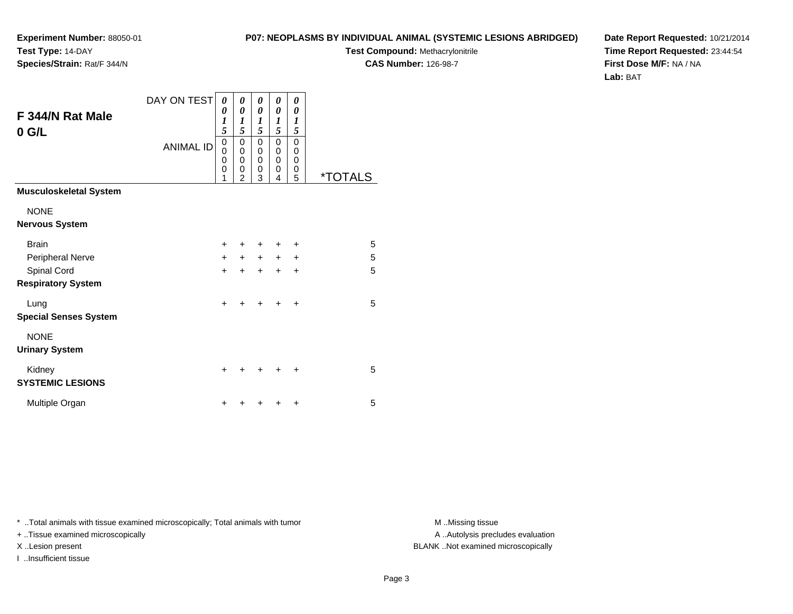#### **P07: NEOPLASMS BY INDIVIDUAL ANIMAL (SYSTEMIC LESIONS ABRIDGED)**

**Test Compound:** Methacrylonitrile

**CAS Number:** 126-98-7

**Date Report Requested:** 10/21/2014**Time Report Requested:** 23:44:54**First Dose M/F:** NA / NA**Lab:** BAT

|                                          | DAY ON TEST      | 0<br>0                           | 0<br>0                             | 0<br>0                | 0<br>0                                              | 0<br>0                |                       |
|------------------------------------------|------------------|----------------------------------|------------------------------------|-----------------------|-----------------------------------------------------|-----------------------|-----------------------|
| F 344/N Rat Male                         |                  | 1<br>5                           | 1<br>5                             | 1<br>5                | $\boldsymbol{l}$<br>5                               | 1<br>5                |                       |
| $0$ G/L                                  | <b>ANIMAL ID</b> | 0<br>$\mathbf{0}$<br>0<br>0<br>1 | 0<br>0<br>0<br>0<br>$\mathfrak{p}$ | 0<br>0<br>0<br>0<br>3 | $\mathbf 0$<br>$\mathbf 0$<br>$\mathbf 0$<br>0<br>4 | 0<br>0<br>0<br>0<br>5 | <i><b>*TOTALS</b></i> |
| <b>Musculoskeletal System</b>            |                  |                                  |                                    |                       |                                                     |                       |                       |
| <b>NONE</b><br><b>Nervous System</b>     |                  |                                  |                                    |                       |                                                     |                       |                       |
| <b>Brain</b>                             |                  | $\ddot{}$                        | ٠                                  | ٠                     | $\ddot{}$                                           | ٠                     | 5                     |
| Peripheral Nerve                         |                  | $+$                              | $+$                                | $+$                   | $+$                                                 | $\ddot{}$             | 5                     |
| Spinal Cord<br><b>Respiratory System</b> |                  | $+$                              | $\div$                             | $\ddot{}$             | $\ddot{}$                                           | $\ddot{}$             | 5                     |
| Lung<br><b>Special Senses System</b>     |                  | $\ddot{}$                        | +                                  | ÷                     | ÷                                                   | ÷                     | 5                     |
| <b>NONE</b><br><b>Urinary System</b>     |                  |                                  |                                    |                       |                                                     |                       |                       |
| Kidney<br><b>SYSTEMIC LESIONS</b>        |                  | +                                |                                    |                       |                                                     | ٠                     | 5                     |
| Multiple Organ                           |                  | +                                |                                    |                       |                                                     | $\ddot{}$             | 5                     |

\* ..Total animals with tissue examined microscopically; Total animals with tumor **M** . Missing tissue M ..Missing tissue

+ ..Tissue examined microscopically

I ..Insufficient tissue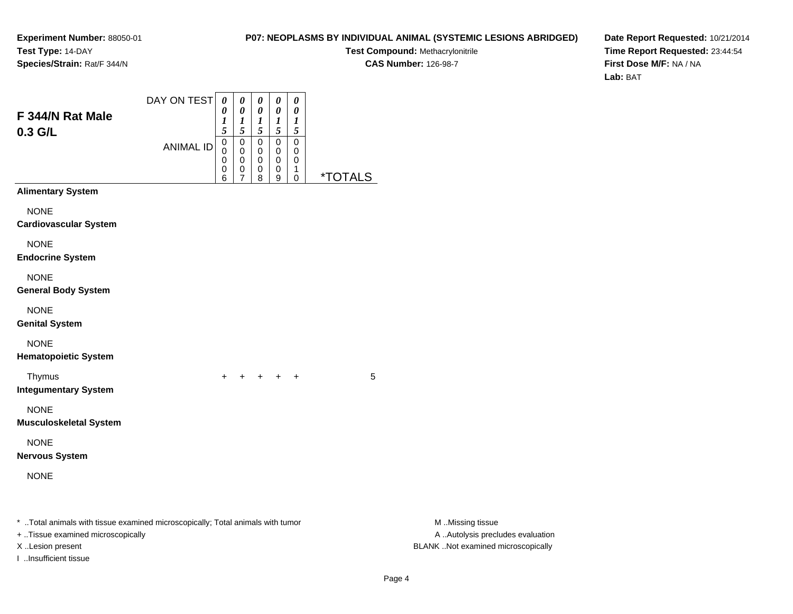#### **P07: NEOPLASMS BY INDIVIDUAL ANIMAL (SYSTEMIC LESIONS ABRIDGED)**

**Test Compound:** Methacrylonitrile

**CAS Number:** 126-98-7

**Date Report Requested:** 10/21/2014**Time Report Requested:** 23:44:54**First Dose M/F:** NA / NA**Lab:** BAT

| F 344/N Rat Male<br>0.3 G/L                                                                                                             | DAY ON TEST      | $\boldsymbol{\theta}$<br>0<br>1<br>5<br>$\pmb{0}$ | 0<br>$\pmb{\theta}$<br>$\boldsymbol{l}$<br>5<br>$\pmb{0}$ | 0<br>$\pmb{\theta}$<br>$\boldsymbol{l}$<br>5<br>$\pmb{0}$ | $\pmb{\theta}$<br>$\pmb{\theta}$<br>$\boldsymbol{l}$<br>$\sqrt{5}$<br>$\pmb{0}$ | $\pmb{\theta}$<br>$\pmb{\theta}$<br>$\boldsymbol{l}$<br>$\sqrt{5}$<br>$\pmb{0}$ |         |                                                                                             |
|-----------------------------------------------------------------------------------------------------------------------------------------|------------------|---------------------------------------------------|-----------------------------------------------------------|-----------------------------------------------------------|---------------------------------------------------------------------------------|---------------------------------------------------------------------------------|---------|---------------------------------------------------------------------------------------------|
|                                                                                                                                         | <b>ANIMAL ID</b> | 0<br>0<br>0<br>6                                  | 0<br>$\pmb{0}$<br>0<br>7                                  | $\pmb{0}$<br>$\pmb{0}$<br>0<br>8                          | $\pmb{0}$<br>$\pmb{0}$<br>0<br>9                                                | $\pmb{0}$<br>$\pmb{0}$<br>$\mathbf{1}$<br>$\mathbf 0$                           | *TOTALS |                                                                                             |
| <b>Alimentary System</b>                                                                                                                |                  |                                                   |                                                           |                                                           |                                                                                 |                                                                                 |         |                                                                                             |
| <b>NONE</b><br><b>Cardiovascular System</b>                                                                                             |                  |                                                   |                                                           |                                                           |                                                                                 |                                                                                 |         |                                                                                             |
| <b>NONE</b><br><b>Endocrine System</b>                                                                                                  |                  |                                                   |                                                           |                                                           |                                                                                 |                                                                                 |         |                                                                                             |
| <b>NONE</b><br><b>General Body System</b>                                                                                               |                  |                                                   |                                                           |                                                           |                                                                                 |                                                                                 |         |                                                                                             |
| <b>NONE</b><br><b>Genital System</b>                                                                                                    |                  |                                                   |                                                           |                                                           |                                                                                 |                                                                                 |         |                                                                                             |
| <b>NONE</b><br><b>Hematopoietic System</b>                                                                                              |                  |                                                   |                                                           |                                                           |                                                                                 |                                                                                 |         |                                                                                             |
| Thymus<br><b>Integumentary System</b>                                                                                                   |                  | $+$                                               |                                                           |                                                           | $+$ $+$ $+$ $+$                                                                 |                                                                                 | 5       |                                                                                             |
| <b>NONE</b><br><b>Musculoskeletal System</b>                                                                                            |                  |                                                   |                                                           |                                                           |                                                                                 |                                                                                 |         |                                                                                             |
| <b>NONE</b><br><b>Nervous System</b>                                                                                                    |                  |                                                   |                                                           |                                                           |                                                                                 |                                                                                 |         |                                                                                             |
| <b>NONE</b>                                                                                                                             |                  |                                                   |                                                           |                                                           |                                                                                 |                                                                                 |         |                                                                                             |
| * Total animals with tissue examined microscopically; Total animals with tumor<br>+ Tissue examined microscopically<br>X Lesion present |                  |                                                   |                                                           |                                                           |                                                                                 |                                                                                 |         | M Missing tissue<br>A  Autolysis precludes evaluation<br>BLANK Not examined microscopically |

I ..Insufficient tissue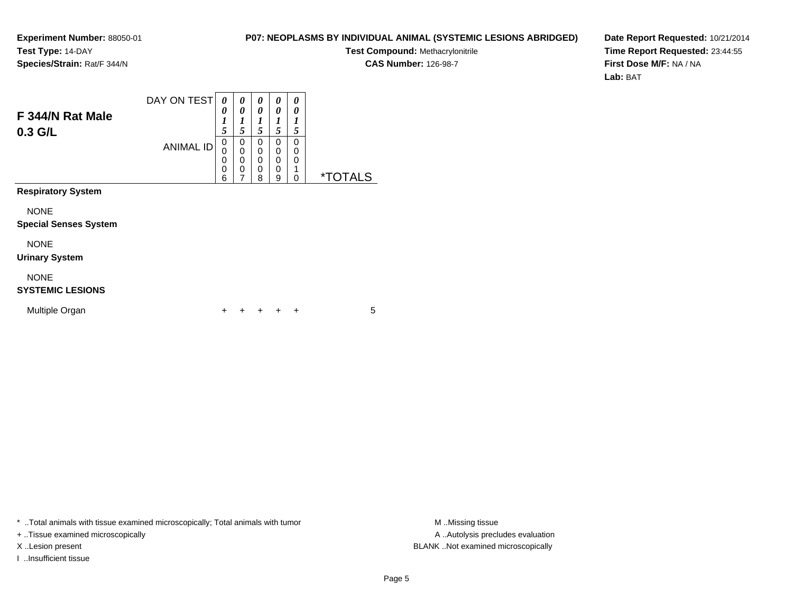#### **P07: NEOPLASMS BY INDIVIDUAL ANIMAL (SYSTEMIC LESIONS ABRIDGED)**

**Test Compound:** Methacrylonitrile

**CAS Number:** 126-98-7

**Date Report Requested:** 10/21/2014**Time Report Requested:** 23:44:55**First Dose M/F:** NA / NA**Lab:** BAT

| F 344/N Rat Male<br>$0.3$ G/L               | DAY ON TEST<br><b>ANIMAL ID</b> | 0<br>0<br>$\boldsymbol{l}$<br>5<br>$\mathbf 0$<br>$\Omega$<br>0<br>$\mathbf 0$<br>6 | 0<br>0<br>1<br>5<br>0<br>$\mathbf 0$<br>$\mathbf 0$<br>$\mathbf 0$<br>$\overline{7}$ | 0<br>0<br>1<br>5<br>0<br>0<br>0<br>0<br>8 | 0<br>0<br>1<br>5<br>0<br>0<br>0<br>0<br>9 | 0<br>0<br>1<br>5<br>0<br>0<br>0<br>1<br>0 | <i><b>*TOTALS</b></i> |
|---------------------------------------------|---------------------------------|-------------------------------------------------------------------------------------|--------------------------------------------------------------------------------------|-------------------------------------------|-------------------------------------------|-------------------------------------------|-----------------------|
| <b>Respiratory System</b>                   |                                 |                                                                                     |                                                                                      |                                           |                                           |                                           |                       |
| <b>NONE</b><br><b>Special Senses System</b> |                                 |                                                                                     |                                                                                      |                                           |                                           |                                           |                       |
| <b>NONE</b><br><b>Urinary System</b>        |                                 |                                                                                     |                                                                                      |                                           |                                           |                                           |                       |
| <b>NONE</b><br><b>SYSTEMIC LESIONS</b>      |                                 |                                                                                     |                                                                                      |                                           |                                           |                                           |                       |
| Multiple Organ                              |                                 |                                                                                     |                                                                                      |                                           |                                           | ÷                                         | 5                     |

\* ..Total animals with tissue examined microscopically; Total animals with tumor **M** . Missing tissue M ..Missing tissue

+ ..Tissue examined microscopically

I ..Insufficient tissue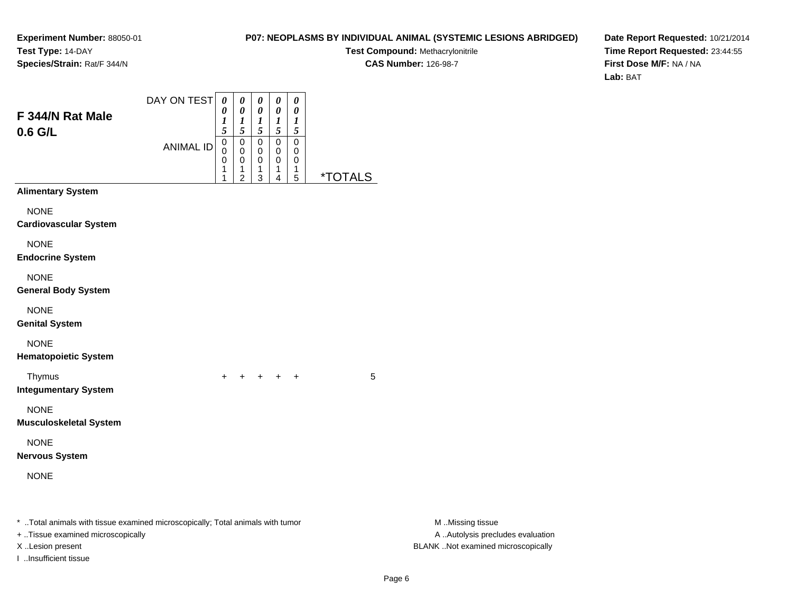#### **P07: NEOPLASMS BY INDIVIDUAL ANIMAL (SYSTEMIC LESIONS ABRIDGED)**

**Test Compound:** Methacrylonitrile**CAS Number:** 126-98-7

**Date Report Requested:** 10/21/2014**Time Report Requested:** 23:44:55**First Dose M/F:** NA / NA**Lab:** BAT

| F 344/N Rat Male                                                                                                     | DAY ON TEST      | $\boldsymbol{\theta}$<br>0      | 0<br>0                                       | 0<br>0                                                  | 0<br>0                        | $\pmb{\theta}$<br>0           |                       |                                                       |
|----------------------------------------------------------------------------------------------------------------------|------------------|---------------------------------|----------------------------------------------|---------------------------------------------------------|-------------------------------|-------------------------------|-----------------------|-------------------------------------------------------|
| $0.6$ G/L                                                                                                            |                  | 1<br>5                          | $\frac{1}{5}$                                | 1<br>$\overline{5}$                                     | $\frac{1}{5}$                 | 1<br>$\sqrt{5}$               |                       |                                                       |
|                                                                                                                      | <b>ANIMAL ID</b> | $\mathbf 0$<br>0<br>0<br>1<br>1 | $\mathbf 0$<br>0<br>0<br>1<br>$\overline{2}$ | $\mathsf 0$<br>0<br>0<br>1<br>$\ensuremath{\mathsf{3}}$ | $\pmb{0}$<br>0<br>0<br>1<br>4 | $\pmb{0}$<br>0<br>0<br>1<br>5 | <i><b>*TOTALS</b></i> |                                                       |
| <b>Alimentary System</b>                                                                                             |                  |                                 |                                              |                                                         |                               |                               |                       |                                                       |
| <b>NONE</b><br><b>Cardiovascular System</b>                                                                          |                  |                                 |                                              |                                                         |                               |                               |                       |                                                       |
| <b>NONE</b><br><b>Endocrine System</b>                                                                               |                  |                                 |                                              |                                                         |                               |                               |                       |                                                       |
| <b>NONE</b><br><b>General Body System</b>                                                                            |                  |                                 |                                              |                                                         |                               |                               |                       |                                                       |
| <b>NONE</b><br><b>Genital System</b>                                                                                 |                  |                                 |                                              |                                                         |                               |                               |                       |                                                       |
| <b>NONE</b><br><b>Hematopoietic System</b>                                                                           |                  |                                 |                                              |                                                         |                               |                               |                       |                                                       |
| Thymus<br><b>Integumentary System</b>                                                                                |                  |                                 | + + + + +                                    |                                                         |                               |                               | 5                     |                                                       |
| <b>NONE</b><br><b>Musculoskeletal System</b>                                                                         |                  |                                 |                                              |                                                         |                               |                               |                       |                                                       |
| <b>NONE</b><br><b>Nervous System</b>                                                                                 |                  |                                 |                                              |                                                         |                               |                               |                       |                                                       |
| <b>NONE</b>                                                                                                          |                  |                                 |                                              |                                                         |                               |                               |                       |                                                       |
| *  Total animals with tissue examined microscopically; Total animals with tumor<br>+ Tissue examined microscopically |                  |                                 |                                              |                                                         |                               |                               |                       | M Missing tissue<br>A  Autolysis precludes evaluation |
| X Lesion present                                                                                                     |                  |                                 |                                              |                                                         |                               |                               |                       | BLANK Not examined microscopically                    |

I ..Insufficient tissue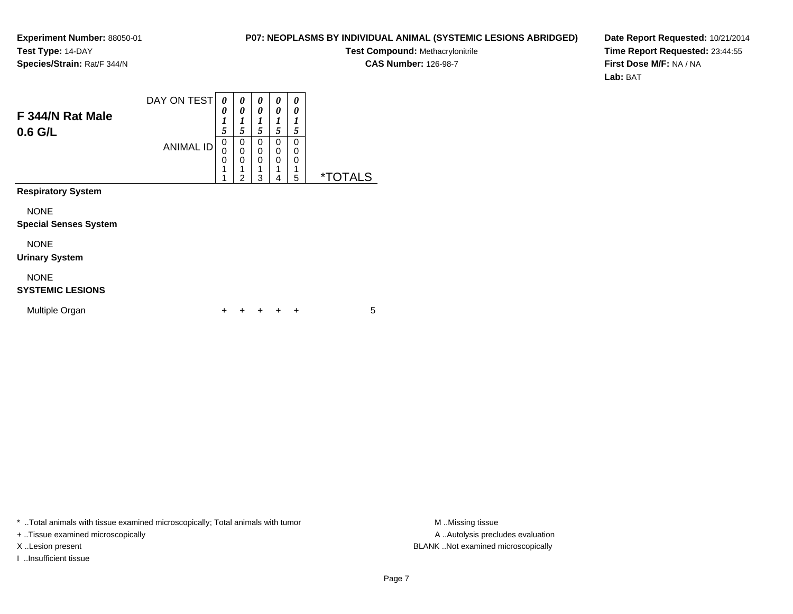#### **P07: NEOPLASMS BY INDIVIDUAL ANIMAL (SYSTEMIC LESIONS ABRIDGED)**

**Test Compound:** Methacrylonitrile

**CAS Number:** 126-98-7

**Date Report Requested:** 10/21/2014**Time Report Requested:** 23:44:55**First Dose M/F:** NA / NA**Lab:** BAT

| F 344/N Rat Male<br>$0.6$ G/L               | DAY ON TEST      | 0<br>0<br>$\boldsymbol{l}$<br>5 | 0<br>0<br>$\boldsymbol{l}$<br>5 | 0<br>0<br>$\boldsymbol{l}$<br>5 | 0<br>0<br>1<br>5      | 0<br>0<br>1<br>5      |                       |
|---------------------------------------------|------------------|---------------------------------|---------------------------------|---------------------------------|-----------------------|-----------------------|-----------------------|
|                                             | <b>ANIMAL ID</b> |                                 |                                 | 0<br>0<br>0<br>3                | 0<br>0<br>0<br>1<br>4 | 0<br>0<br>0<br>1<br>5 | <i><b>*TOTALS</b></i> |
| <b>Respiratory System</b>                   |                  |                                 |                                 |                                 |                       |                       |                       |
| <b>NONE</b><br><b>Special Senses System</b> |                  |                                 |                                 |                                 |                       |                       |                       |
| <b>NONE</b><br><b>Urinary System</b>        |                  |                                 |                                 |                                 |                       |                       |                       |
| <b>NONE</b><br><b>SYSTEMIC LESIONS</b>      |                  |                                 |                                 |                                 |                       |                       |                       |
| Multiple Organ                              |                  | +                               |                                 |                                 | ٠                     | ÷                     | 5                     |

\* ..Total animals with tissue examined microscopically; Total animals with tumor **M** . Missing tissue M ..Missing tissue

+ ..Tissue examined microscopically

I ..Insufficient tissue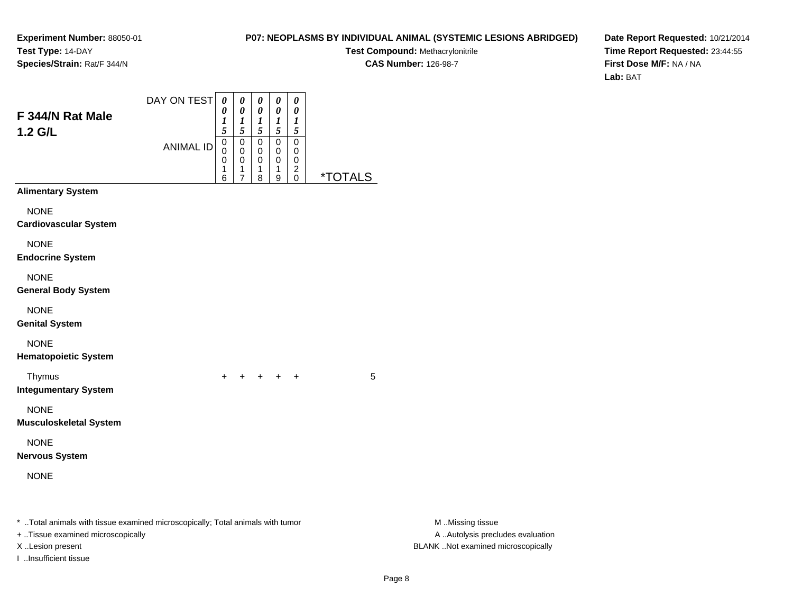I ..Insufficient tissue

## **P07: NEOPLASMS BY INDIVIDUAL ANIMAL (SYSTEMIC LESIONS ABRIDGED)**

**Test Compound:** Methacrylonitrile**CAS Number:** 126-98-7

**Date Report Requested:** 10/21/2014**Time Report Requested:** 23:44:55**First Dose M/F:** NA / NA**Lab:** BAT

| F 344/N Rat Male<br>1.2 G/L                                                                                                             | DAY ON TEST      | $\boldsymbol{\theta}$<br>$\boldsymbol{\theta}$<br>1<br>5 | $\pmb{\theta}$<br>0<br>$\boldsymbol{l}$<br>5 | $\boldsymbol{\theta}$<br>0<br>$\boldsymbol{l}$<br>5 | $\boldsymbol{\theta}$<br>$\pmb{\theta}$<br>$\boldsymbol{l}$<br>5 | $\boldsymbol{\theta}$<br>$\boldsymbol{\theta}$<br>$\boldsymbol{l}$<br>$\mathfrak{H}$ |                       |                  |                                                                         |
|-----------------------------------------------------------------------------------------------------------------------------------------|------------------|----------------------------------------------------------|----------------------------------------------|-----------------------------------------------------|------------------------------------------------------------------|--------------------------------------------------------------------------------------|-----------------------|------------------|-------------------------------------------------------------------------|
|                                                                                                                                         | <b>ANIMAL ID</b> | 0<br>0<br>0<br>1<br>6                                    | $\boldsymbol{0}$<br>0<br>0<br>1<br>7         | 0<br>0<br>0<br>1<br>8                               | $\pmb{0}$<br>0<br>0<br>1<br>$\boldsymbol{9}$                     | $\pmb{0}$<br>0<br>0<br>$\overline{c}$<br>$\mathbf 0$                                 | <i><b>*TOTALS</b></i> |                  |                                                                         |
| <b>Alimentary System</b>                                                                                                                |                  |                                                          |                                              |                                                     |                                                                  |                                                                                      |                       |                  |                                                                         |
| <b>NONE</b><br><b>Cardiovascular System</b>                                                                                             |                  |                                                          |                                              |                                                     |                                                                  |                                                                                      |                       |                  |                                                                         |
| <b>NONE</b><br><b>Endocrine System</b>                                                                                                  |                  |                                                          |                                              |                                                     |                                                                  |                                                                                      |                       |                  |                                                                         |
| <b>NONE</b><br><b>General Body System</b>                                                                                               |                  |                                                          |                                              |                                                     |                                                                  |                                                                                      |                       |                  |                                                                         |
| <b>NONE</b><br><b>Genital System</b>                                                                                                    |                  |                                                          |                                              |                                                     |                                                                  |                                                                                      |                       |                  |                                                                         |
| <b>NONE</b><br><b>Hematopoietic System</b>                                                                                              |                  |                                                          |                                              |                                                     |                                                                  |                                                                                      |                       |                  |                                                                         |
| Thymus<br><b>Integumentary System</b>                                                                                                   |                  | $\ddot{}$                                                | $+$                                          |                                                     | $+$ $+$ $+$                                                      |                                                                                      | 5                     |                  |                                                                         |
| <b>NONE</b><br><b>Musculoskeletal System</b>                                                                                            |                  |                                                          |                                              |                                                     |                                                                  |                                                                                      |                       |                  |                                                                         |
| <b>NONE</b><br>Nervous System                                                                                                           |                  |                                                          |                                              |                                                     |                                                                  |                                                                                      |                       |                  |                                                                         |
| <b>NONE</b>                                                                                                                             |                  |                                                          |                                              |                                                     |                                                                  |                                                                                      |                       |                  |                                                                         |
| * Total animals with tissue examined microscopically; Total animals with tumor<br>+ Tissue examined microscopically<br>X Lesion present |                  |                                                          |                                              |                                                     |                                                                  |                                                                                      |                       | M Missing tissue | A  Autolysis precludes evaluation<br>BLANK Not examined microscopically |

Page 8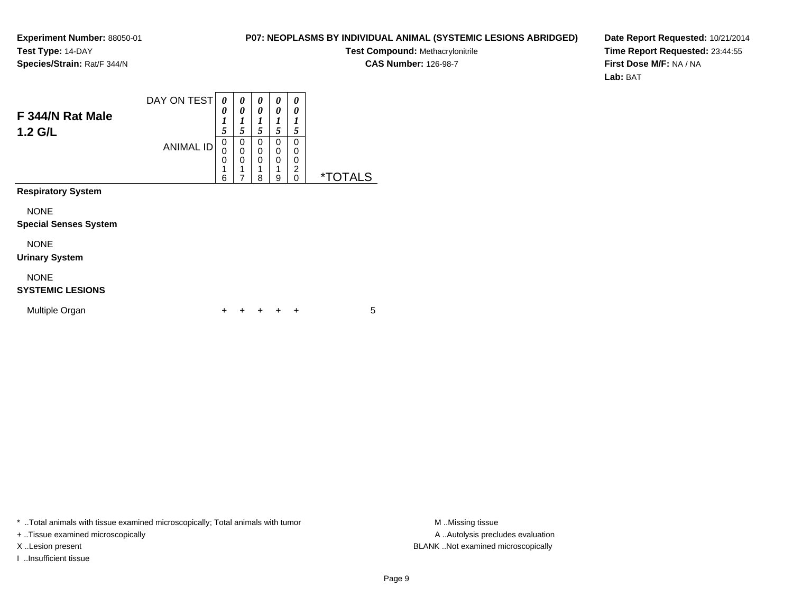#### **P07: NEOPLASMS BY INDIVIDUAL ANIMAL (SYSTEMIC LESIONS ABRIDGED)**

**Test Compound:** Methacrylonitrile

**CAS Number:** 126-98-7

**Date Report Requested:** 10/21/2014**Time Report Requested:** 23:44:55**First Dose M/F:** NA / NA**Lab:** BAT

| F 344/N Rat Male<br>1.2 G/L                 | DAY ON TEST      | 0<br>0<br>1<br>5      | 0<br>0<br>1<br>5                   | 0<br>0<br>1<br>5 | 0<br>0<br>1<br>5                          | 0<br>0<br>1<br>5             |                       |
|---------------------------------------------|------------------|-----------------------|------------------------------------|------------------|-------------------------------------------|------------------------------|-----------------------|
|                                             | <b>ANIMAL ID</b> | 0<br>0<br>0<br>1<br>6 | 0<br>0<br>0<br>1<br>$\overline{7}$ | 0<br>0<br>0<br>8 | 0<br>$\mathbf 0$<br>$\mathbf 0$<br>1<br>9 | 0<br>0<br>0<br>2<br>$\Omega$ | <i><b>*TOTALS</b></i> |
| <b>Respiratory System</b>                   |                  |                       |                                    |                  |                                           |                              |                       |
| <b>NONE</b><br><b>Special Senses System</b> |                  |                       |                                    |                  |                                           |                              |                       |
| <b>NONE</b><br><b>Urinary System</b>        |                  |                       |                                    |                  |                                           |                              |                       |
| <b>NONE</b><br><b>SYSTEMIC LESIONS</b>      |                  |                       |                                    |                  |                                           |                              |                       |
| Multiple Organ                              |                  | ÷                     | ٠                                  |                  |                                           | ÷                            | 5                     |

\* ..Total animals with tissue examined microscopically; Total animals with tumor **M** . Missing tissue M ..Missing tissue

+ ..Tissue examined microscopically

I ..Insufficient tissue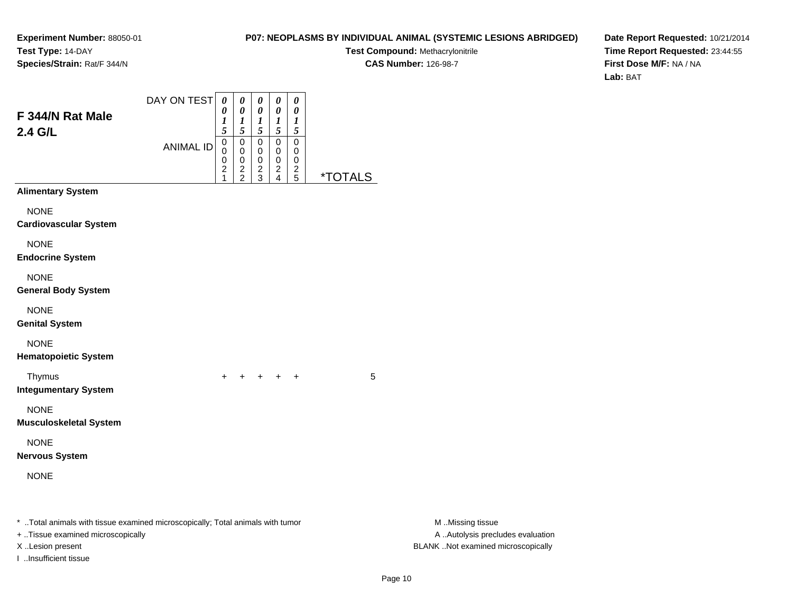## **P07: NEOPLASMS BY INDIVIDUAL ANIMAL (SYSTEMIC LESIONS ABRIDGED)**

**Test Compound:** Methacrylonitrile**CAS Number:** 126-98-7

**Date Report Requested:** 10/21/2014**Time Report Requested:** 23:44:55**First Dose M/F:** NA / NA**Lab:** BAT

| F 344/N Rat Male<br>2.4 G/L                                                    | DAY ON TEST      | 0<br>0<br>1<br>5                                       | 0<br>0<br>$\boldsymbol{l}$<br>5                          | 0<br>0<br>$\boldsymbol{l}$<br>5      | 0<br>0<br>$\boldsymbol{l}$<br>$\mathfrak{s}$ | 0<br>0<br>$\boldsymbol{l}$<br>$\sqrt{5}$ |                       |                                   |
|--------------------------------------------------------------------------------|------------------|--------------------------------------------------------|----------------------------------------------------------|--------------------------------------|----------------------------------------------|------------------------------------------|-----------------------|-----------------------------------|
|                                                                                | <b>ANIMAL ID</b> | 0<br>0<br>0<br>$\overline{\mathbf{c}}$<br>$\mathbf{1}$ | $\pmb{0}$<br>$\mathbf 0$<br>$\mathbf 0$<br>$\frac{2}{2}$ | $\pmb{0}$<br>0<br>0<br>$\frac{2}{3}$ | $\pmb{0}$<br>0<br>0<br>$\frac{2}{4}$         | $\mathbf 0$<br>0<br>0<br>$\frac{2}{5}$   | <i><b>*TOTALS</b></i> |                                   |
| <b>Alimentary System</b>                                                       |                  |                                                        |                                                          |                                      |                                              |                                          |                       |                                   |
| <b>NONE</b><br><b>Cardiovascular System</b>                                    |                  |                                                        |                                                          |                                      |                                              |                                          |                       |                                   |
| <b>NONE</b><br><b>Endocrine System</b>                                         |                  |                                                        |                                                          |                                      |                                              |                                          |                       |                                   |
| <b>NONE</b><br><b>General Body System</b>                                      |                  |                                                        |                                                          |                                      |                                              |                                          |                       |                                   |
| <b>NONE</b><br><b>Genital System</b>                                           |                  |                                                        |                                                          |                                      |                                              |                                          |                       |                                   |
| <b>NONE</b><br><b>Hematopoietic System</b>                                     |                  |                                                        |                                                          |                                      |                                              |                                          |                       |                                   |
| Thymus<br><b>Integumentary System</b>                                          |                  | $\ddot{}$                                              | $+$                                                      |                                      | $+$ $+$ $+$                                  |                                          | 5                     |                                   |
| <b>NONE</b><br><b>Musculoskeletal System</b>                                   |                  |                                                        |                                                          |                                      |                                              |                                          |                       |                                   |
| <b>NONE</b><br><b>Nervous System</b>                                           |                  |                                                        |                                                          |                                      |                                              |                                          |                       |                                   |
| <b>NONE</b>                                                                    |                  |                                                        |                                                          |                                      |                                              |                                          |                       |                                   |
| * Total animals with tissue examined microscopically; Total animals with tumor |                  |                                                        |                                                          |                                      |                                              |                                          |                       | M Missing tissue                  |
| + Tissue examined microscopically                                              |                  |                                                        |                                                          |                                      |                                              |                                          |                       | A  Autolysis precludes evaluation |

I ..Insufficient tissue

X ..Lesion present BLANK ..Not examined microscopically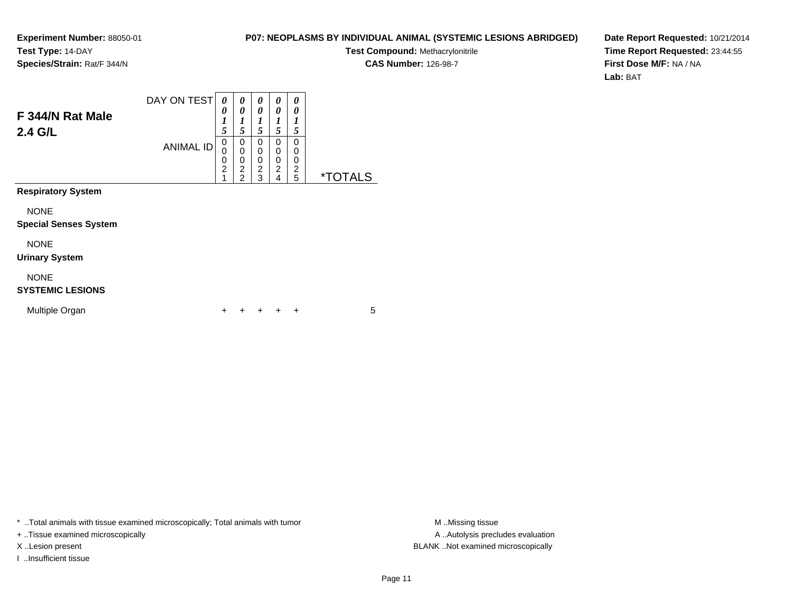#### **P07: NEOPLASMS BY INDIVIDUAL ANIMAL (SYSTEMIC LESIONS ABRIDGED)**

**Test Compound:** Methacrylonitrile

**CAS Number:** 126-98-7

**Date Report Requested:** 10/21/2014**Time Report Requested:** 23:44:55**First Dose M/F:** NA / NA**Lab:** BAT

| F 344/N Rat Male<br>2.4 G/L                 | DAY ON TEST<br><b>ANIMAL ID</b> | 0<br>0<br>1<br>5<br>$\mathbf 0$<br>0<br>0<br>$\overline{c}$<br>1 | 0<br>0<br>$\boldsymbol{l}$<br>5<br>0<br>$\mathbf 0$<br>$\mathbf 0$<br>$\overline{c}$<br>$\overline{2}$ | 0<br>0<br>1<br>5<br>0<br>0<br>0<br>$\overline{c}$<br>3 | 0<br>0<br>1<br>5<br>0<br>$\mathbf 0$<br>0<br>$\overline{\mathbf{c}}$<br>$\overline{4}$ | 0<br>0<br>1<br>5<br>0<br>$\Omega$<br>0<br>2<br>5 | <i><b>*TOTALS</b></i> |
|---------------------------------------------|---------------------------------|------------------------------------------------------------------|--------------------------------------------------------------------------------------------------------|--------------------------------------------------------|----------------------------------------------------------------------------------------|--------------------------------------------------|-----------------------|
| <b>Respiratory System</b>                   |                                 |                                                                  |                                                                                                        |                                                        |                                                                                        |                                                  |                       |
| <b>NONE</b><br><b>Special Senses System</b> |                                 |                                                                  |                                                                                                        |                                                        |                                                                                        |                                                  |                       |
| <b>NONE</b><br><b>Urinary System</b>        |                                 |                                                                  |                                                                                                        |                                                        |                                                                                        |                                                  |                       |
| <b>NONE</b><br><b>SYSTEMIC LESIONS</b>      |                                 |                                                                  |                                                                                                        |                                                        |                                                                                        |                                                  |                       |
| Multiple Organ                              |                                 |                                                                  |                                                                                                        |                                                        |                                                                                        | +                                                | 5                     |

\* ..Total animals with tissue examined microscopically; Total animals with tumor **M** . Missing tissue M ..Missing tissue

+ ..Tissue examined microscopically

I ..Insufficient tissue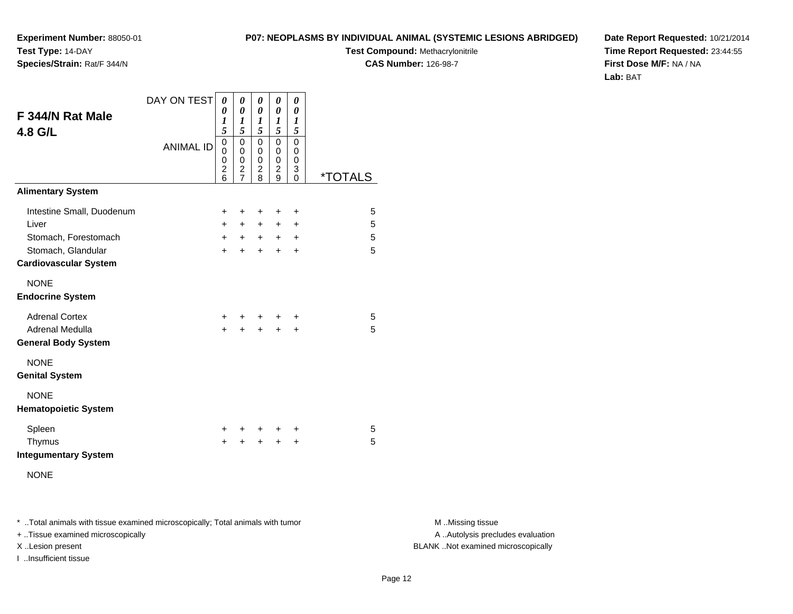**P07: NEOPLASMS BY INDIVIDUAL ANIMAL (SYSTEMIC LESIONS ABRIDGED)**

**Test Compound:** Methacrylonitrile

**CAS Number:** 126-98-7

**Date Report Requested:** 10/21/2014**Time Report Requested:** 23:44:55**First Dose M/F:** NA / NA**Lab:** BAT

| F 344/N Rat Male<br>4.8 G/L                                                                                      | DAY ON TEST<br><b>ANIMAL ID</b> | 0<br>0<br>$\boldsymbol{l}$<br>5<br>$\mathbf 0$<br>0<br>0<br>$\overline{\mathbf{c}}$<br>6 | 0<br>0<br>1<br>5<br>$\mathbf 0$<br>$\mathbf 0$<br>0<br>$\frac{2}{7}$ | 0<br>0<br>1<br>5<br>$\Omega$<br>$\mathbf 0$<br>0<br>$\overline{c}$<br>8 | 0<br>0<br>1<br>5<br>0<br>$\mathbf 0$<br>0<br>$\overline{\mathbf{c}}$<br>9 | 0<br>$\pmb{\theta}$<br>1<br>5<br>0<br>0<br>0<br>3<br>$\mathbf 0$ | <i><b>*TOTALS</b></i> |
|------------------------------------------------------------------------------------------------------------------|---------------------------------|------------------------------------------------------------------------------------------|----------------------------------------------------------------------|-------------------------------------------------------------------------|---------------------------------------------------------------------------|------------------------------------------------------------------|-----------------------|
| <b>Alimentary System</b>                                                                                         |                                 |                                                                                          |                                                                      |                                                                         |                                                                           |                                                                  |                       |
| Intestine Small, Duodenum<br>Liver<br>Stomach, Forestomach<br>Stomach, Glandular<br><b>Cardiovascular System</b> |                                 | $\ddot{}$<br>$+$<br>$+$<br>$\ddot{}$                                                     | +<br>$+$<br>$+$ $-$<br>$\pm$                                         | +<br>$+$<br>$+$<br>$\ddot{}$                                            | +<br>$\ddot{}$<br>$+$<br>$\ddot{}$                                        | +<br>$\ddot{}$<br>$\ddot{}$<br>$\ddot{}$                         | 5<br>5<br>5<br>5      |
| <b>NONE</b><br><b>Endocrine System</b>                                                                           |                                 |                                                                                          |                                                                      |                                                                         |                                                                           |                                                                  |                       |
| <b>Adrenal Cortex</b><br>Adrenal Medulla<br><b>General Body System</b>                                           |                                 | +<br>$\ddot{}$                                                                           | +                                                                    | $\ddot{}$                                                               | $\ddot{}$                                                                 | +<br>+                                                           | 5<br>5                |
| <b>NONE</b><br><b>Genital System</b>                                                                             |                                 |                                                                                          |                                                                      |                                                                         |                                                                           |                                                                  |                       |
| <b>NONE</b><br><b>Hematopoietic System</b>                                                                       |                                 |                                                                                          |                                                                      |                                                                         |                                                                           |                                                                  |                       |
| Spleen<br>Thymus<br><b>Integumentary System</b>                                                                  |                                 | +<br>+                                                                                   | +                                                                    | +<br>+                                                                  | ÷<br>+                                                                    | +<br>+                                                           | 5<br>5                |
| <b>NONE</b>                                                                                                      |                                 |                                                                                          |                                                                      |                                                                         |                                                                           |                                                                  |                       |

\* ..Total animals with tissue examined microscopically; Total animals with tumor **M** . Missing tissue M ..Missing tissue

+ ..Tissue examined microscopically

**Experiment Number:** 88050-01

**Species/Strain:** Rat/F 344/N

**Test Type:** 14-DAY

I ..Insufficient tissue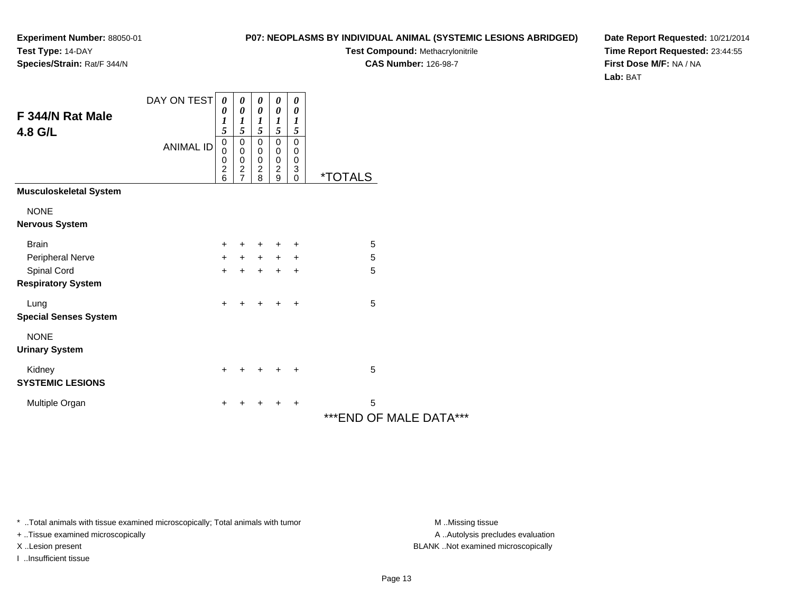#### **P07: NEOPLASMS BY INDIVIDUAL ANIMAL (SYSTEMIC LESIONS ABRIDGED)**

**Test Compound:** Methacrylonitrile

**CAS Number:** 126-98-7

**Date Report Requested:** 10/21/2014**Time Report Requested:** 23:44:55**First Dose M/F:** NA / NA**Lab:** BAT

| F 344/N Rat Male<br>4.8 G/L              | DAY ON TEST      | 0<br>0<br>$\boldsymbol{l}$<br>5                               | 0<br>$\boldsymbol{\theta}$<br>$\boldsymbol{l}$<br>5             | 0<br>$\boldsymbol{\theta}$<br>$\boldsymbol{l}$<br>5 | 0<br>$\boldsymbol{\theta}$<br>$\boldsymbol{l}$<br>5        | 0<br>$\boldsymbol{\theta}$<br>$\boldsymbol{l}$<br>5 |                              |
|------------------------------------------|------------------|---------------------------------------------------------------|-----------------------------------------------------------------|-----------------------------------------------------|------------------------------------------------------------|-----------------------------------------------------|------------------------------|
|                                          | <b>ANIMAL ID</b> | $\pmb{0}$<br>$\Omega$<br>$\mathbf 0$<br>$\boldsymbol{2}$<br>6 | $\mathbf 0$<br>0<br>$\,0\,$<br>$\overline{c}$<br>$\overline{7}$ | 0<br>0<br>$\pmb{0}$<br>$\boldsymbol{2}$<br>8        | $\pmb{0}$<br>$\pmb{0}$<br>$\pmb{0}$<br>$\overline{2}$<br>9 | 0<br>0<br>0<br>3<br>$\mathbf 0$                     | <i><b>*TOTALS</b></i>        |
| <b>Musculoskeletal System</b>            |                  |                                                               |                                                                 |                                                     |                                                            |                                                     |                              |
| <b>NONE</b><br><b>Nervous System</b>     |                  |                                                               |                                                                 |                                                     |                                                            |                                                     |                              |
| <b>Brain</b>                             |                  | $\ddot{}$                                                     | $\pm$                                                           | $\ddot{}$                                           | $\ddot{}$                                                  | ÷                                                   | 5                            |
| Peripheral Nerve                         |                  | +                                                             | $+$                                                             | $+$                                                 | $+$                                                        | $\ddot{}$                                           | 5                            |
| Spinal Cord<br><b>Respiratory System</b> |                  | +                                                             | +                                                               | $\ddot{}$                                           | +                                                          | $\ddot{}$                                           | 5                            |
| Lung<br><b>Special Senses System</b>     |                  | $\ddot{}$                                                     | ٠                                                               | $\ddot{}$                                           | $\ddot{}$                                                  | $\ddot{}$                                           | 5                            |
| <b>NONE</b><br><b>Urinary System</b>     |                  |                                                               |                                                                 |                                                     |                                                            |                                                     |                              |
| Kidney<br><b>SYSTEMIC LESIONS</b>        |                  | $\ddot{}$                                                     | +                                                               | $+$                                                 | $\ddot{}$                                                  | $\ddot{}$                                           | 5                            |
| Multiple Organ                           |                  | +                                                             | +                                                               | +                                                   | $\ddot{}$                                                  | $\ddot{}$                                           | 5<br>*** END OF MALE DATA*** |

\* ..Total animals with tissue examined microscopically; Total animals with tumor **M** . Missing tissue M ..Missing tissue

+ ..Tissue examined microscopically

I ..Insufficient tissue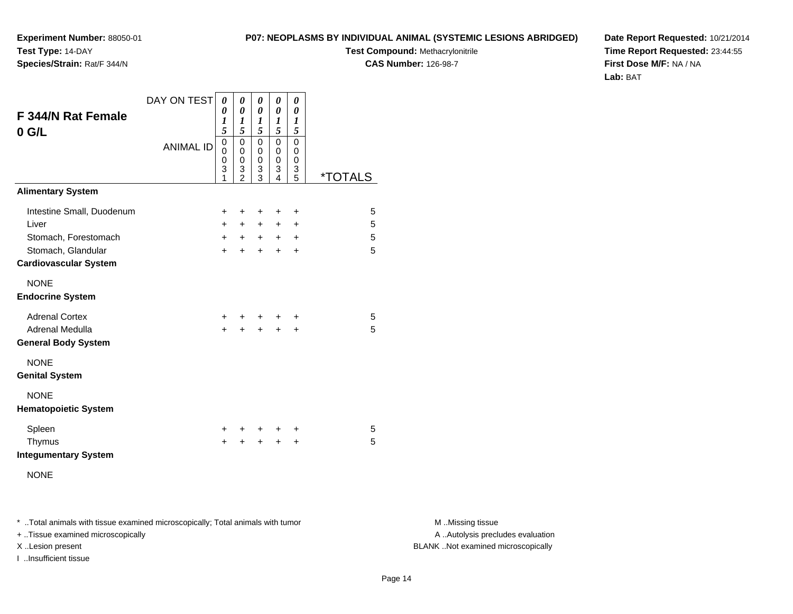**P07: NEOPLASMS BY INDIVIDUAL ANIMAL (SYSTEMIC LESIONS ABRIDGED)**

**Test Compound:** Methacrylonitrile

**CAS Number:** 126-98-7

**Date Report Requested:** 10/21/2014**Time Report Requested:** 23:44:55**First Dose M/F:** NA / NA**Lab:** BAT

| <b>F 344/N Rat Female</b><br>$0$ G/L                 | DAY ON TEST      | 0<br>0<br>1<br>5                | 0<br>$\theta$<br>1<br>5                                | 0<br>0<br>1<br>5                              | 0<br>0<br>1<br>5                | 0<br>0<br>1<br>5      |                       |
|------------------------------------------------------|------------------|---------------------------------|--------------------------------------------------------|-----------------------------------------------|---------------------------------|-----------------------|-----------------------|
|                                                      | <b>ANIMAL ID</b> | $\mathbf 0$<br>0<br>0<br>3<br>1 | $\mathbf 0$<br>$\mathbf 0$<br>0<br>3<br>$\mathfrak{p}$ | 0<br>0<br>0<br>$\ensuremath{\mathsf{3}}$<br>3 | 0<br>0<br>$\mathbf 0$<br>3<br>4 | 0<br>0<br>0<br>3<br>5 | <i><b>*TOTALS</b></i> |
| <b>Alimentary System</b>                             |                  |                                 |                                                        |                                               |                                 |                       |                       |
| Intestine Small, Duodenum                            |                  | +                               | ÷                                                      | ÷                                             | $\pm$                           | $\ddot{}$             | 5                     |
| Liver                                                |                  | $+$                             | $\ddot{}$                                              | $\ddot{}$                                     | $\ddot{}$                       | +                     | 5                     |
| Stomach, Forestomach                                 |                  | $+$                             | $+$                                                    | $+$                                           | $+$                             | $\ddot{}$             | 5                     |
| Stomach, Glandular<br><b>Cardiovascular System</b>   |                  | $\ddot{}$                       | $\ddot{}$                                              | $\ddot{}$                                     | $\ddot{}$                       | $\ddot{}$             | 5                     |
| <b>NONE</b><br><b>Endocrine System</b>               |                  |                                 |                                                        |                                               |                                 |                       |                       |
| <b>Adrenal Cortex</b>                                |                  | +                               |                                                        | +                                             | ٠                               | ٠                     | 5                     |
| <b>Adrenal Medulla</b><br><b>General Body System</b> |                  | $\ddot{}$                       |                                                        | $\ddot{}$                                     | $\ddot{}$                       | +                     | 5                     |
| <b>NONE</b><br><b>Genital System</b>                 |                  |                                 |                                                        |                                               |                                 |                       |                       |
| <b>NONE</b><br><b>Hematopoietic System</b>           |                  |                                 |                                                        |                                               |                                 |                       |                       |
| Spleen                                               |                  | +                               |                                                        | $\ddot{}$                                     | +                               | +                     | 5                     |
| Thymus<br><b>Integumentary System</b>                |                  | +                               | +                                                      | +                                             | +                               | +                     | 5                     |
| <b>NONE</b>                                          |                  |                                 |                                                        |                                               |                                 |                       |                       |

\* ..Total animals with tissue examined microscopically; Total animals with tumor **M** . Missing tissue M ..Missing tissue

+ ..Tissue examined microscopically

**Experiment Number:** 88050-01

**Species/Strain:** Rat/F 344/N

**Test Type:** 14-DAY

I ..Insufficient tissue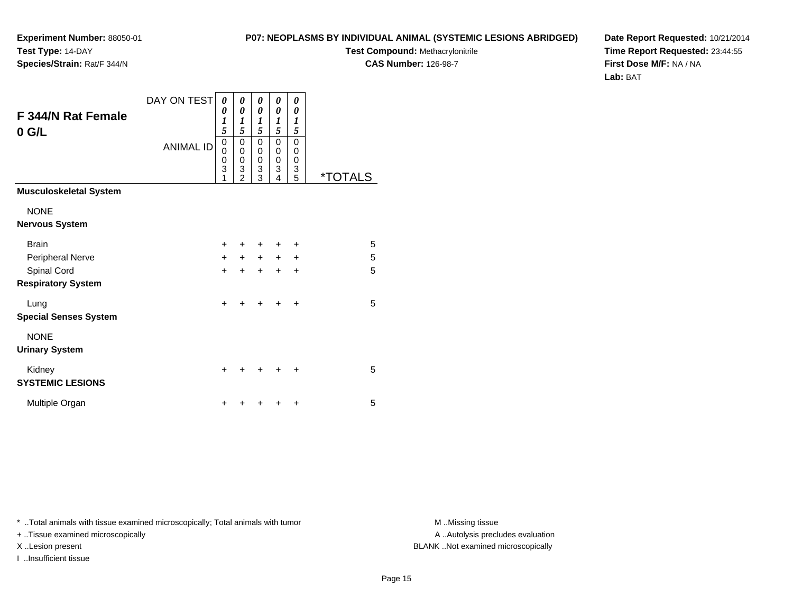#### **P07: NEOPLASMS BY INDIVIDUAL ANIMAL (SYSTEMIC LESIONS ABRIDGED)**

**Test Compound:** Methacrylonitrile

**CAS Number:** 126-98-7

**Date Report Requested:** 10/21/2014**Time Report Requested:** 23:44:55**First Dose M/F:** NA / NA**Lab:** BAT

| <b>F 344/N Rat Female</b><br>$0$ G/L | DAY ON TEST<br><b>ANIMAL ID</b> | 0<br>0<br>$\boldsymbol{l}$<br>5<br>0<br>0<br>0 | 0<br>0<br>1<br>5<br>0<br>$\mathbf 0$<br>0 | 0<br>0<br>$\boldsymbol{l}$<br>5<br>0<br>0<br>0 | 0<br>0<br>$\boldsymbol{l}$<br>5<br>$\mathbf 0$<br>0<br>$\mathbf 0$ | 0<br>0<br>1<br>5<br>0<br>0<br>0 |                       |
|--------------------------------------|---------------------------------|------------------------------------------------|-------------------------------------------|------------------------------------------------|--------------------------------------------------------------------|---------------------------------|-----------------------|
|                                      |                                 | 3<br>1                                         | 3<br>$\mathfrak{p}$                       | 3<br>3                                         | 3<br>4                                                             | 3<br>5                          | <i><b>*TOTALS</b></i> |
| <b>Musculoskeletal System</b>        |                                 |                                                |                                           |                                                |                                                                    |                                 |                       |
| <b>NONE</b>                          |                                 |                                                |                                           |                                                |                                                                    |                                 |                       |
| <b>Nervous System</b>                |                                 |                                                |                                           |                                                |                                                                    |                                 |                       |
| <b>Brain</b>                         |                                 | $\ddot{}$                                      |                                           | ٠                                              | $\ddot{}$                                                          | ٠                               | 5                     |
| Peripheral Nerve                     |                                 | $\ddot{}$                                      | $+$                                       | $+$                                            | $\ddot{}$                                                          | +                               | 5                     |
| Spinal Cord                          |                                 | $\ddot{}$                                      |                                           | $\ddot{}$                                      | $\ddot{}$                                                          | $\ddot{}$                       | 5                     |
| <b>Respiratory System</b>            |                                 |                                                |                                           |                                                |                                                                    |                                 |                       |
| Lung                                 |                                 | $\ddot{}$                                      | +                                         | $\div$                                         | ÷                                                                  | $\ddot{}$                       | 5                     |
| <b>Special Senses System</b>         |                                 |                                                |                                           |                                                |                                                                    |                                 |                       |
| <b>NONE</b>                          |                                 |                                                |                                           |                                                |                                                                    |                                 |                       |
| <b>Urinary System</b>                |                                 |                                                |                                           |                                                |                                                                    |                                 |                       |
| Kidney                               |                                 | $\ddot{}$                                      |                                           |                                                |                                                                    | +                               | 5                     |
| <b>SYSTEMIC LESIONS</b>              |                                 |                                                |                                           |                                                |                                                                    |                                 |                       |
| Multiple Organ                       |                                 | +                                              |                                           |                                                |                                                                    | $\ddot{}$                       | 5                     |

\* ..Total animals with tissue examined microscopically; Total animals with tumor **M** . Missing tissue M ..Missing tissue

+ ..Tissue examined microscopically

I ..Insufficient tissue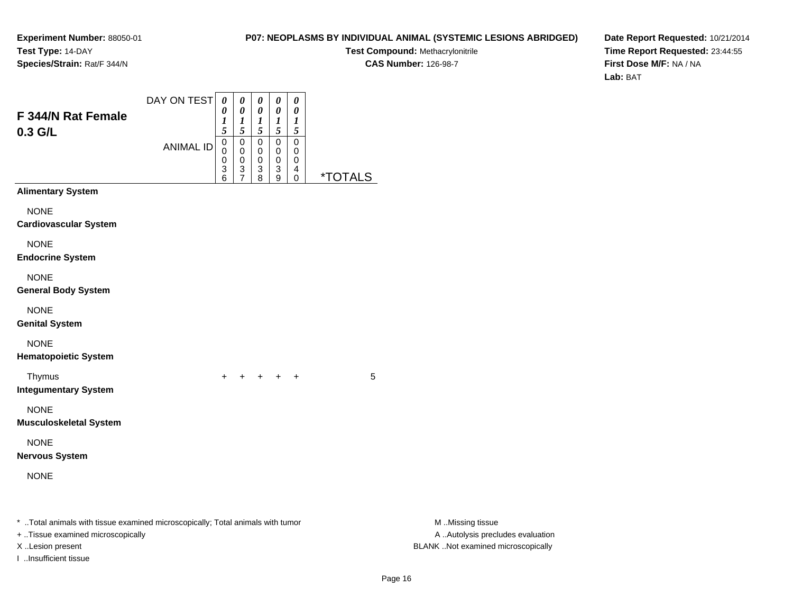#### **P07: NEOPLASMS BY INDIVIDUAL ANIMAL (SYSTEMIC LESIONS ABRIDGED)**

**Test Compound:** Methacrylonitrile**CAS Number:** 126-98-7

**Date Report Requested:** 10/21/2014**Time Report Requested:** 23:44:55**First Dose M/F:** NA / NA**Lab:** BAT

| F 344/N Rat Female<br>0.3 G/L                                                                                                           | DAY ON TEST<br><b>ANIMAL ID</b> | $\boldsymbol{\theta}$<br>0<br>$\boldsymbol{l}$<br>5<br>0<br>0<br>0<br>3<br>6 | 0<br>$\pmb{\theta}$<br>$\boldsymbol{l}$<br>5<br>0<br>0<br>$\pmb{0}$<br>3<br>$\overline{7}$ | 0<br>$\boldsymbol{\theta}$<br>$\boldsymbol{l}$<br>5<br>$\pmb{0}$<br>$\pmb{0}$<br>$\pmb{0}$<br>$\frac{3}{8}$ | $\pmb{\theta}$<br>$\boldsymbol{\theta}$<br>$\boldsymbol{l}$<br>$\sqrt{5}$<br>$\mathbf 0$<br>0<br>$\pmb{0}$<br>$_9^3$ | $\pmb{\theta}$<br>$\boldsymbol{\theta}$<br>$\boldsymbol{l}$<br>$\sqrt{5}$<br>$\pmb{0}$<br>$\pmb{0}$<br>$\boldsymbol{0}$<br>4<br>0 | <i><b>*TOTALS</b></i> |                                                                                             |
|-----------------------------------------------------------------------------------------------------------------------------------------|---------------------------------|------------------------------------------------------------------------------|--------------------------------------------------------------------------------------------|-------------------------------------------------------------------------------------------------------------|----------------------------------------------------------------------------------------------------------------------|-----------------------------------------------------------------------------------------------------------------------------------|-----------------------|---------------------------------------------------------------------------------------------|
| <b>Alimentary System</b>                                                                                                                |                                 |                                                                              |                                                                                            |                                                                                                             |                                                                                                                      |                                                                                                                                   |                       |                                                                                             |
| <b>NONE</b><br><b>Cardiovascular System</b>                                                                                             |                                 |                                                                              |                                                                                            |                                                                                                             |                                                                                                                      |                                                                                                                                   |                       |                                                                                             |
| <b>NONE</b><br><b>Endocrine System</b>                                                                                                  |                                 |                                                                              |                                                                                            |                                                                                                             |                                                                                                                      |                                                                                                                                   |                       |                                                                                             |
| <b>NONE</b><br><b>General Body System</b>                                                                                               |                                 |                                                                              |                                                                                            |                                                                                                             |                                                                                                                      |                                                                                                                                   |                       |                                                                                             |
| <b>NONE</b><br><b>Genital System</b>                                                                                                    |                                 |                                                                              |                                                                                            |                                                                                                             |                                                                                                                      |                                                                                                                                   |                       |                                                                                             |
| <b>NONE</b><br><b>Hematopoietic System</b>                                                                                              |                                 |                                                                              |                                                                                            |                                                                                                             |                                                                                                                      |                                                                                                                                   |                       |                                                                                             |
| Thymus<br><b>Integumentary System</b>                                                                                                   |                                 | $+$                                                                          |                                                                                            | $+$ $+$ $+$ $+$                                                                                             |                                                                                                                      |                                                                                                                                   | 5                     |                                                                                             |
| <b>NONE</b><br><b>Musculoskeletal System</b>                                                                                            |                                 |                                                                              |                                                                                            |                                                                                                             |                                                                                                                      |                                                                                                                                   |                       |                                                                                             |
| <b>NONE</b><br><b>Nervous System</b>                                                                                                    |                                 |                                                                              |                                                                                            |                                                                                                             |                                                                                                                      |                                                                                                                                   |                       |                                                                                             |
| <b>NONE</b>                                                                                                                             |                                 |                                                                              |                                                                                            |                                                                                                             |                                                                                                                      |                                                                                                                                   |                       |                                                                                             |
| * Total animals with tissue examined microscopically; Total animals with tumor<br>+ Tissue examined microscopically<br>X Lesion present |                                 |                                                                              |                                                                                            |                                                                                                             |                                                                                                                      |                                                                                                                                   |                       | M Missing tissue<br>A  Autolysis precludes evaluation<br>BLANK Not examined microscopically |

I ..Insufficient tissue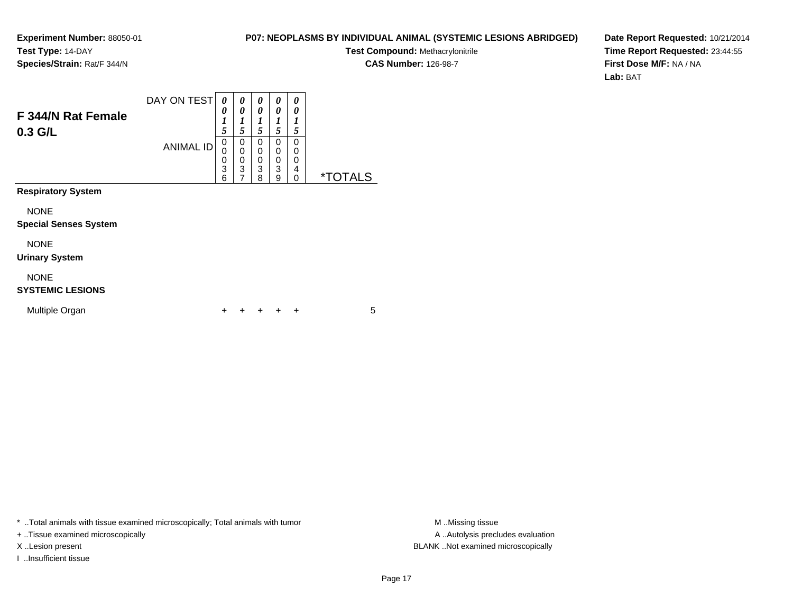#### **P07: NEOPLASMS BY INDIVIDUAL ANIMAL (SYSTEMIC LESIONS ABRIDGED)**

**Test Compound:** Methacrylonitrile

**CAS Number:** 126-98-7

**Date Report Requested:** 10/21/2014**Time Report Requested:** 23:44:55**First Dose M/F:** NA / NA**Lab:** BAT

| F 344/N Rat Female<br>$0.3$ G/L             | DAY ON TEST<br><b>ANIMAL ID</b> | 0<br>0<br>1<br>5<br>0<br>0<br>0<br>3<br>6 | 0<br>0<br>1<br>5<br>0<br>$\mathbf 0$<br>0<br>$\overline{3}$<br>$\overline{7}$ | 0<br>0<br>1<br>5<br>0<br>0<br>0<br>3<br>8 | 0<br>0<br>1<br>5<br>0<br>0<br>0<br>3<br>9 | 0<br>0<br>1<br>5<br>$\Omega$<br>0<br>0<br>4<br>0 | <i><b>*TOTALS</b></i> |
|---------------------------------------------|---------------------------------|-------------------------------------------|-------------------------------------------------------------------------------|-------------------------------------------|-------------------------------------------|--------------------------------------------------|-----------------------|
| <b>Respiratory System</b>                   |                                 |                                           |                                                                               |                                           |                                           |                                                  |                       |
| <b>NONE</b><br><b>Special Senses System</b> |                                 |                                           |                                                                               |                                           |                                           |                                                  |                       |
| <b>NONE</b><br><b>Urinary System</b>        |                                 |                                           |                                                                               |                                           |                                           |                                                  |                       |
| <b>NONE</b><br><b>SYSTEMIC LESIONS</b>      |                                 |                                           |                                                                               |                                           |                                           |                                                  |                       |
| Multiple Organ                              |                                 | ٠                                         |                                                                               |                                           |                                           | +                                                | 5                     |

\* ..Total animals with tissue examined microscopically; Total animals with tumor **M** . Missing tissue M ..Missing tissue

+ ..Tissue examined microscopically

I ..Insufficient tissue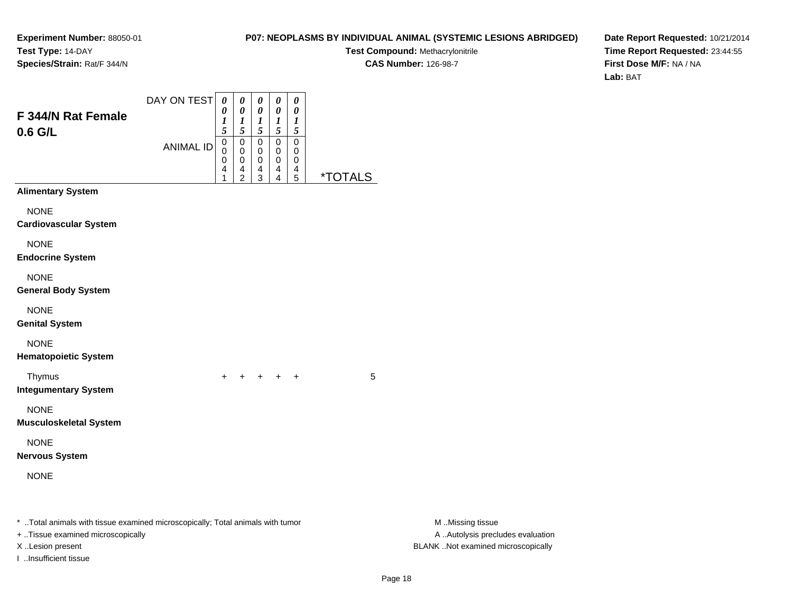#### **P07: NEOPLASMS BY INDIVIDUAL ANIMAL (SYSTEMIC LESIONS ABRIDGED)**

**Test Compound:** Methacrylonitrile**CAS Number:** 126-98-7

**Date Report Requested:** 10/21/2014**Time Report Requested:** 23:44:55**First Dose M/F:** NA / NA**Lab:** BAT

| F 344/N Rat Female                                                                                                                      | DAY ON TEST      | $\boldsymbol{\theta}$<br>0                   | 0<br>$\boldsymbol{\theta}$                                                    | $\pmb{\theta}$<br>$\pmb{\theta}$                                                | $\boldsymbol{\theta}$<br>$\boldsymbol{\theta}$             | $\boldsymbol{\theta}$<br>$\boldsymbol{\theta}$<br>$\boldsymbol{l}$ |                       |                                                                                             |
|-----------------------------------------------------------------------------------------------------------------------------------------|------------------|----------------------------------------------|-------------------------------------------------------------------------------|---------------------------------------------------------------------------------|------------------------------------------------------------|--------------------------------------------------------------------|-----------------------|---------------------------------------------------------------------------------------------|
| 0.6 G/L                                                                                                                                 | <b>ANIMAL ID</b> | $\frac{1}{5}$<br>$\,0\,$<br>0<br>0<br>4<br>1 | $\boldsymbol{l}$<br>5<br>$\pmb{0}$<br>0<br>$\mathbf 0$<br>4<br>$\overline{2}$ | $\frac{1}{5}$<br>$\mathbf 0$<br>0<br>$\mathsf{O}\xspace$<br>4<br>$\overline{3}$ | $\frac{1}{5}$<br>$\mathbf 0$<br>0<br>$\mathbf 0$<br>4<br>4 | $\sqrt{5}$<br>$\pmb{0}$<br>0<br>$\mathbf 0$<br>4<br>5              | <i><b>*TOTALS</b></i> |                                                                                             |
| <b>Alimentary System</b>                                                                                                                |                  |                                              |                                                                               |                                                                                 |                                                            |                                                                    |                       |                                                                                             |
| <b>NONE</b><br><b>Cardiovascular System</b>                                                                                             |                  |                                              |                                                                               |                                                                                 |                                                            |                                                                    |                       |                                                                                             |
| <b>NONE</b><br><b>Endocrine System</b>                                                                                                  |                  |                                              |                                                                               |                                                                                 |                                                            |                                                                    |                       |                                                                                             |
| <b>NONE</b><br><b>General Body System</b>                                                                                               |                  |                                              |                                                                               |                                                                                 |                                                            |                                                                    |                       |                                                                                             |
| <b>NONE</b><br><b>Genital System</b>                                                                                                    |                  |                                              |                                                                               |                                                                                 |                                                            |                                                                    |                       |                                                                                             |
| <b>NONE</b><br><b>Hematopoietic System</b>                                                                                              |                  |                                              |                                                                               |                                                                                 |                                                            |                                                                    |                       |                                                                                             |
| Thymus<br><b>Integumentary System</b>                                                                                                   |                  | $\ddot{}$                                    | $\ddot{}$                                                                     | $+$                                                                             | $^{+}$                                                     | $+$                                                                | 5                     |                                                                                             |
| <b>NONE</b><br><b>Musculoskeletal System</b>                                                                                            |                  |                                              |                                                                               |                                                                                 |                                                            |                                                                    |                       |                                                                                             |
| <b>NONE</b><br><b>Nervous System</b>                                                                                                    |                  |                                              |                                                                               |                                                                                 |                                                            |                                                                    |                       |                                                                                             |
| <b>NONE</b>                                                                                                                             |                  |                                              |                                                                               |                                                                                 |                                                            |                                                                    |                       |                                                                                             |
| * Total animals with tissue examined microscopically; Total animals with tumor<br>+ Tissue examined microscopically<br>X Lesion present |                  |                                              |                                                                               |                                                                                 |                                                            |                                                                    |                       | M Missing tissue<br>A  Autolysis precludes evaluation<br>BLANK Not examined microscopically |

I ..Insufficient tissue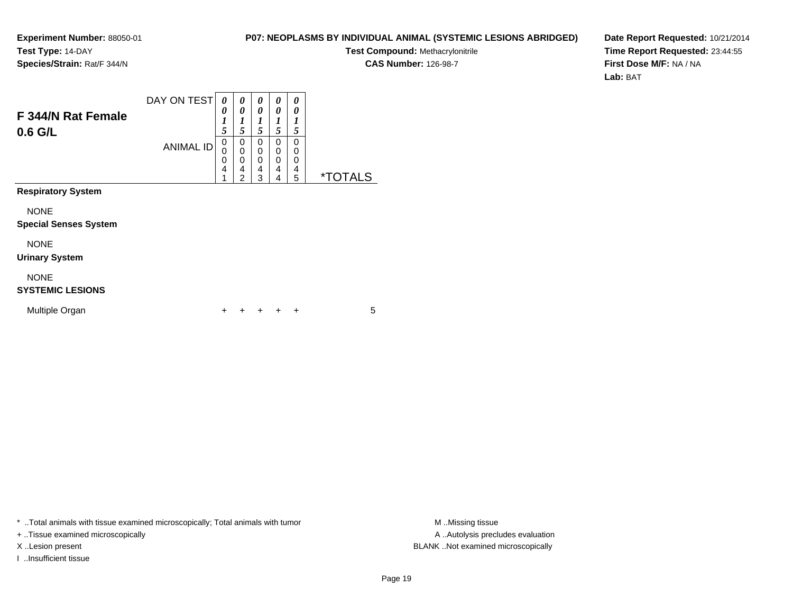#### **P07: NEOPLASMS BY INDIVIDUAL ANIMAL (SYSTEMIC LESIONS ABRIDGED)**

**Test Compound:** Methacrylonitrile

**CAS Number:** 126-98-7

**Date Report Requested:** 10/21/2014**Time Report Requested:** 23:44:55**First Dose M/F:** NA / NA**Lab:** BAT

| F 344/N Rat Female<br>$0.6$ G/L             | DAY ON TEST<br><b>ANIMAL ID</b> | 0<br>0<br>1<br>5<br>0<br>0<br>4 | 0<br>0<br>1<br>5<br>$\mathbf 0$<br>$\overline{0}$<br>0<br>4<br>$\overline{2}$ | 0<br>0<br>1<br>5<br>0<br>$\mathbf 0$<br>0<br>4<br>3 | 0<br>0<br>1<br>5<br>0<br>$\mathbf 0$<br>$\mathbf 0$<br>$\overline{4}$<br>4 | 0<br>0<br>1<br>5<br>$\Omega$<br>0<br>0<br>4<br>5 | <i><b>*TOTALS</b></i> |
|---------------------------------------------|---------------------------------|---------------------------------|-------------------------------------------------------------------------------|-----------------------------------------------------|----------------------------------------------------------------------------|--------------------------------------------------|-----------------------|
| <b>Respiratory System</b>                   |                                 |                                 |                                                                               |                                                     |                                                                            |                                                  |                       |
| <b>NONE</b><br><b>Special Senses System</b> |                                 |                                 |                                                                               |                                                     |                                                                            |                                                  |                       |
| <b>NONE</b><br><b>Urinary System</b>        |                                 |                                 |                                                                               |                                                     |                                                                            |                                                  |                       |
| <b>NONE</b><br><b>SYSTEMIC LESIONS</b>      |                                 |                                 |                                                                               |                                                     |                                                                            |                                                  |                       |
| Multiple Organ                              |                                 | ٠                               |                                                                               |                                                     |                                                                            | ÷                                                | 5                     |

\* ..Total animals with tissue examined microscopically; Total animals with tumor **M** . Missing tissue M ..Missing tissue

+ ..Tissue examined microscopically

I ..Insufficient tissue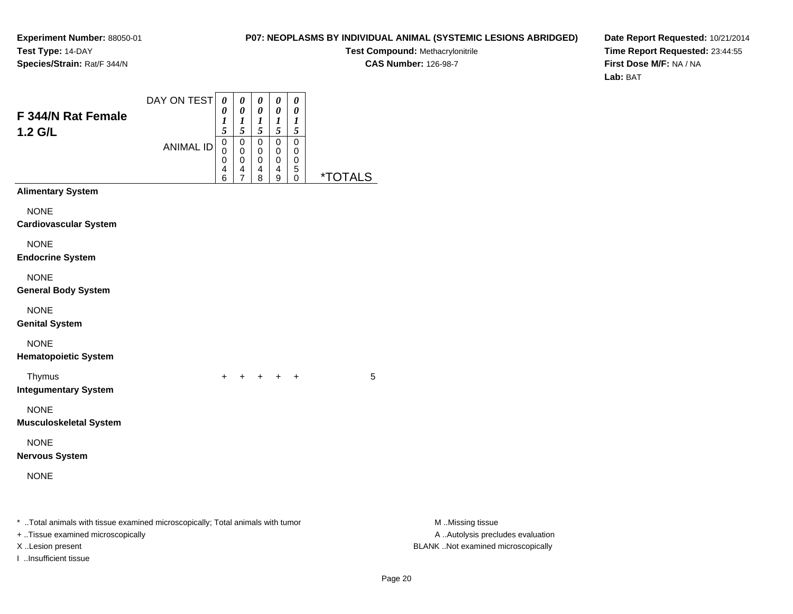#### **P07: NEOPLASMS BY INDIVIDUAL ANIMAL (SYSTEMIC LESIONS ABRIDGED)**

**Test Compound:** Methacrylonitrile

**CAS Number:** 126-98-7

**Date Report Requested:** 10/21/2014**Time Report Requested:** 23:44:55**First Dose M/F:** NA / NA**Lab:** BAT

| F 344/N Rat Female<br>1.2 G/L                                                                                                            | DAY ON TEST<br><b>ANIMAL ID</b> | $\boldsymbol{\theta}$<br>0<br>1<br>5<br>0<br>0 | 0<br>$\boldsymbol{\theta}$<br>1<br>5<br>$\mathbf 0$<br>$\mathbf 0$ | 0<br>0<br>1<br>5<br>0<br>$\mathbf 0$ | 0<br>$\boldsymbol{\theta}$<br>$\boldsymbol{l}$<br>$\mathfrak{s}$<br>$\mathbf 0$<br>$\mathbf 0$ | 0<br>$\boldsymbol{\theta}$<br>1<br>$\mathfrak{s}$<br>$\boldsymbol{0}$<br>0 |                              |                                                                                             |
|------------------------------------------------------------------------------------------------------------------------------------------|---------------------------------|------------------------------------------------|--------------------------------------------------------------------|--------------------------------------|------------------------------------------------------------------------------------------------|----------------------------------------------------------------------------|------------------------------|---------------------------------------------------------------------------------------------|
|                                                                                                                                          |                                 | 0<br>4<br>6                                    | 0<br>4<br>7                                                        | 0<br>4<br>8                          | $\mathbf 0$<br>4<br>9                                                                          | $\mathbf 0$<br>5<br>0                                                      | <u><i><b>*TOTALS</b></i></u> |                                                                                             |
| <b>Alimentary System</b>                                                                                                                 |                                 |                                                |                                                                    |                                      |                                                                                                |                                                                            |                              |                                                                                             |
| <b>NONE</b><br><b>Cardiovascular System</b>                                                                                              |                                 |                                                |                                                                    |                                      |                                                                                                |                                                                            |                              |                                                                                             |
| <b>NONE</b><br><b>Endocrine System</b>                                                                                                   |                                 |                                                |                                                                    |                                      |                                                                                                |                                                                            |                              |                                                                                             |
| <b>NONE</b><br><b>General Body System</b>                                                                                                |                                 |                                                |                                                                    |                                      |                                                                                                |                                                                            |                              |                                                                                             |
| <b>NONE</b><br><b>Genital System</b>                                                                                                     |                                 |                                                |                                                                    |                                      |                                                                                                |                                                                            |                              |                                                                                             |
| <b>NONE</b><br><b>Hematopoietic System</b>                                                                                               |                                 |                                                |                                                                    |                                      |                                                                                                |                                                                            |                              |                                                                                             |
| Thymus<br><b>Integumentary System</b>                                                                                                    |                                 | $+$                                            | $+ + + +$                                                          |                                      |                                                                                                |                                                                            | 5                            |                                                                                             |
| <b>NONE</b><br><b>Musculoskeletal System</b>                                                                                             |                                 |                                                |                                                                    |                                      |                                                                                                |                                                                            |                              |                                                                                             |
| <b>NONE</b><br><b>Nervous System</b>                                                                                                     |                                 |                                                |                                                                    |                                      |                                                                                                |                                                                            |                              |                                                                                             |
| <b>NONE</b>                                                                                                                              |                                 |                                                |                                                                    |                                      |                                                                                                |                                                                            |                              |                                                                                             |
| *  Total animals with tissue examined microscopically; Total animals with tumor<br>+ Tissue examined microscopically<br>X Lesion present |                                 |                                                |                                                                    |                                      |                                                                                                |                                                                            |                              | M Missing tissue<br>A  Autolysis precludes evaluation<br>BLANK Not examined microscopically |

I ..Insufficient tissue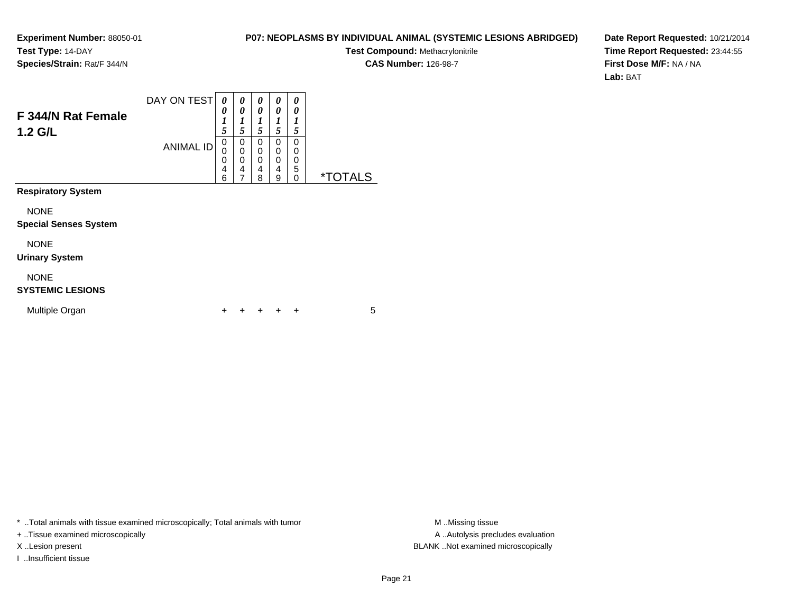#### **P07: NEOPLASMS BY INDIVIDUAL ANIMAL (SYSTEMIC LESIONS ABRIDGED)**

**Test Compound:** Methacrylonitrile**CAS Number:** 126-98-7

**Date Report Requested:** 10/21/2014**Time Report Requested:** 23:44:55**First Dose M/F:** NA / NA**Lab:** BAT

| F 344/N Rat Female<br>$1.2$ G/L             | DAY ON TEST<br><b>ANIMAL ID</b> | 0<br>0<br>$\boldsymbol{l}$<br>5<br>0 | 0<br>0<br>$\boldsymbol{l}$<br>5<br>0 | 0<br>0<br>1<br>5<br>0 | 0<br>0<br>1<br>5<br>$\Omega$ | 0<br>0<br>1<br>5<br>$\Omega$ |                       |
|---------------------------------------------|---------------------------------|--------------------------------------|--------------------------------------|-----------------------|------------------------------|------------------------------|-----------------------|
|                                             |                                 | 0<br>0<br>4<br>6                     | 0<br>0<br>4<br>7                     | 0<br>0<br>4<br>8      | 0<br>0<br>4<br>9             | 0<br>0<br>5<br>$\Omega$      | <i><b>*TOTALS</b></i> |
| <b>Respiratory System</b>                   |                                 |                                      |                                      |                       |                              |                              |                       |
| <b>NONE</b><br><b>Special Senses System</b> |                                 |                                      |                                      |                       |                              |                              |                       |
| <b>NONE</b><br><b>Urinary System</b>        |                                 |                                      |                                      |                       |                              |                              |                       |
| <b>NONE</b><br><b>SYSTEMIC LESIONS</b>      |                                 |                                      |                                      |                       |                              |                              |                       |
| Multiple Organ                              |                                 | +                                    |                                      |                       |                              | ٠                            | 5                     |

\* ..Total animals with tissue examined microscopically; Total animals with tumor **M** . Missing tissue M ..Missing tissue

+ ..Tissue examined microscopically

I ..Insufficient tissue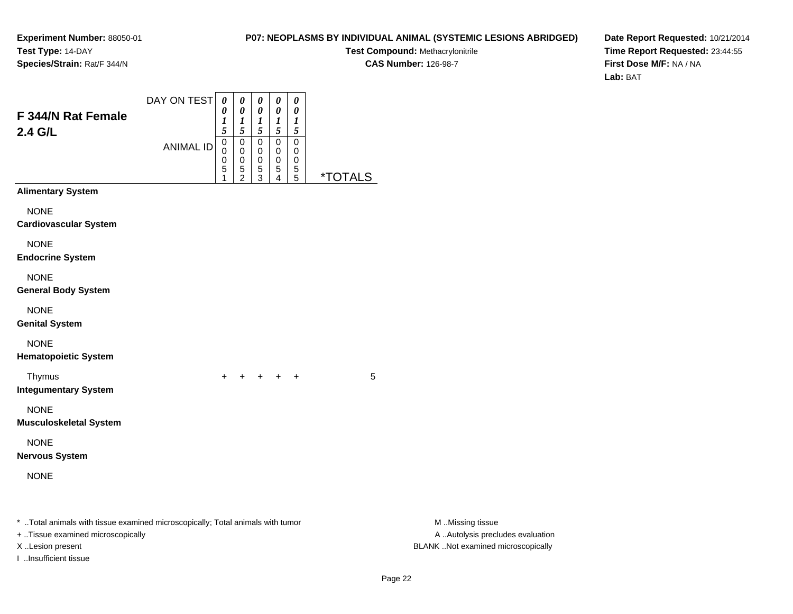I ..Insufficient tissue

#### **P07: NEOPLASMS BY INDIVIDUAL ANIMAL (SYSTEMIC LESIONS ABRIDGED)**

**Test Compound:** Methacrylonitrile**CAS Number:** 126-98-7

**Date Report Requested:** 10/21/2014**Time Report Requested:** 23:44:55**First Dose M/F:** NA / NA**Lab:** BAT

| F 344/N Rat Female<br>2.4 G/L                                                                                       | DAY ON TEST<br><b>ANIMAL ID</b> | $\boldsymbol{\theta}$<br>0<br>1<br>5<br>0<br>0<br>0<br>5 | 0<br>$\pmb{\theta}$<br>$\frac{1}{5}$<br>$\pmb{0}$<br>0<br>0<br>$\frac{5}{2}$ | 0<br>0<br>$\frac{1}{5}$<br>$\mathsf 0$<br>0<br>0<br>$\frac{5}{3}$ | 0<br>$\pmb{\theta}$<br>$\frac{1}{5}$<br>$\pmb{0}$<br>0<br>0<br>5<br>4 | $\pmb{\theta}$<br>0<br>$\frac{1}{5}$<br>$\pmb{0}$<br>0<br>0<br>$\frac{5}{5}$ | <i><b>*TOTALS</b></i> |                                                      |
|---------------------------------------------------------------------------------------------------------------------|---------------------------------|----------------------------------------------------------|------------------------------------------------------------------------------|-------------------------------------------------------------------|-----------------------------------------------------------------------|------------------------------------------------------------------------------|-----------------------|------------------------------------------------------|
| <b>Alimentary System</b>                                                                                            |                                 |                                                          |                                                                              |                                                                   |                                                                       |                                                                              |                       |                                                      |
| <b>NONE</b><br><b>Cardiovascular System</b>                                                                         |                                 |                                                          |                                                                              |                                                                   |                                                                       |                                                                              |                       |                                                      |
| <b>NONE</b><br><b>Endocrine System</b>                                                                              |                                 |                                                          |                                                                              |                                                                   |                                                                       |                                                                              |                       |                                                      |
| <b>NONE</b><br><b>General Body System</b>                                                                           |                                 |                                                          |                                                                              |                                                                   |                                                                       |                                                                              |                       |                                                      |
| <b>NONE</b><br><b>Genital System</b>                                                                                |                                 |                                                          |                                                                              |                                                                   |                                                                       |                                                                              |                       |                                                      |
| <b>NONE</b><br><b>Hematopoietic System</b>                                                                          |                                 |                                                          |                                                                              |                                                                   |                                                                       |                                                                              |                       |                                                      |
| Thymus<br><b>Integumentary System</b>                                                                               |                                 | $+$                                                      | $\pm$                                                                        |                                                                   | $+$ $+$ $+$                                                           |                                                                              | 5                     |                                                      |
| <b>NONE</b><br><b>Musculoskeletal System</b>                                                                        |                                 |                                                          |                                                                              |                                                                   |                                                                       |                                                                              |                       |                                                      |
| <b>NONE</b><br><b>Nervous System</b>                                                                                |                                 |                                                          |                                                                              |                                                                   |                                                                       |                                                                              |                       |                                                      |
| <b>NONE</b>                                                                                                         |                                 |                                                          |                                                                              |                                                                   |                                                                       |                                                                              |                       |                                                      |
| * Total animals with tissue examined microscopically; Total animals with tumor<br>+ Tissue examined microscopically |                                 |                                                          |                                                                              |                                                                   |                                                                       |                                                                              |                       | M Missing tissue<br>A Autolysis precludes evaluation |

X ..Lesion present BLANK ..Not examined microscopically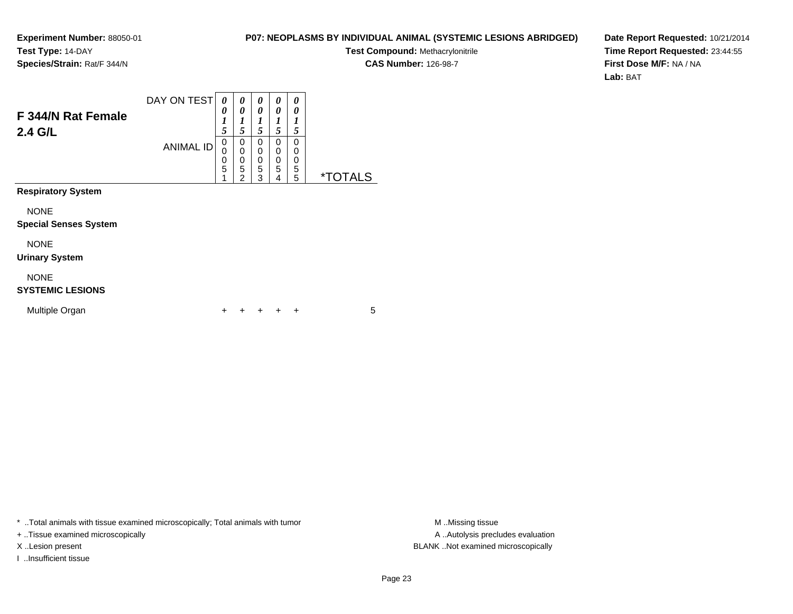#### **P07: NEOPLASMS BY INDIVIDUAL ANIMAL (SYSTEMIC LESIONS ABRIDGED)**

**Test Compound:** Methacrylonitrile

**CAS Number:** 126-98-7

**Date Report Requested:** 10/21/2014**Time Report Requested:** 23:44:55**First Dose M/F:** NA / NA**Lab:** BAT

| F 344/N Rat Female<br>2.4 G/L               | DAY ON TEST<br><b>ANIMAL ID</b> | 0<br>0<br>$\boldsymbol{l}$<br>5<br>0<br>0<br>0<br>5<br>4 | 0<br>0<br>$\boldsymbol{l}$<br>5<br>0<br>0<br>$\begin{array}{c} 0 \\ 5 \end{array}$<br>$\overline{2}$ | 0<br>0<br>1<br>5<br>0<br>0<br>$\mathbf 0$<br>5<br>3 | 0<br>0<br>1<br>5<br>0<br>0<br>0<br>5<br>4 | 0<br>0<br>1<br>5<br>0<br>0<br>0<br>5<br>5 | <i><b>*TOTALS</b></i> |
|---------------------------------------------|---------------------------------|----------------------------------------------------------|------------------------------------------------------------------------------------------------------|-----------------------------------------------------|-------------------------------------------|-------------------------------------------|-----------------------|
| <b>Respiratory System</b>                   |                                 |                                                          |                                                                                                      |                                                     |                                           |                                           |                       |
| <b>NONE</b><br><b>Special Senses System</b> |                                 |                                                          |                                                                                                      |                                                     |                                           |                                           |                       |
| <b>NONE</b><br><b>Urinary System</b>        |                                 |                                                          |                                                                                                      |                                                     |                                           |                                           |                       |
| <b>NONE</b><br><b>SYSTEMIC LESIONS</b>      |                                 |                                                          |                                                                                                      |                                                     |                                           |                                           |                       |
| Multiple Organ                              |                                 | ٠                                                        |                                                                                                      |                                                     |                                           | ÷                                         | 5                     |

\* ..Total animals with tissue examined microscopically; Total animals with tumor **M** . Missing tissue M ..Missing tissue

+ ..Tissue examined microscopically

I ..Insufficient tissue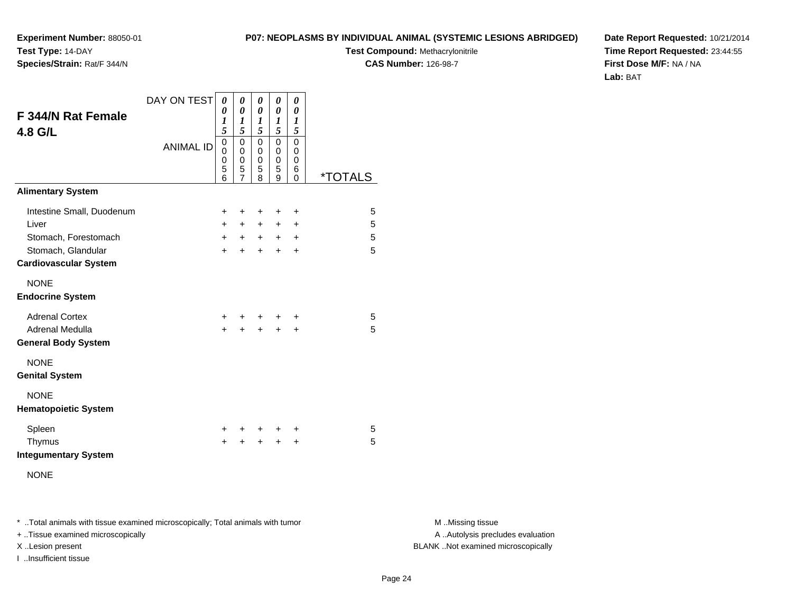**P07: NEOPLASMS BY INDIVIDUAL ANIMAL (SYSTEMIC LESIONS ABRIDGED)**

**Test Compound:** Methacrylonitrile

**CAS Number:** 126-98-7

**Date Report Requested:** 10/21/2014**Time Report Requested:** 23:44:55**First Dose M/F:** NA / NA**Lab:** BAT

| F 344/N Rat Female<br>4.8 G/L                      | DAY ON TEST<br><b>ANIMAL ID</b> | 0<br>0<br>1<br>5<br>0<br>0<br>$\mathbf 0$<br>5<br>6 | 0<br>0<br>1<br>5<br>0<br>0<br>0<br>5<br>7 | 0<br>$\theta$<br>1<br>5<br>$\Omega$<br>0<br>$\mathbf 0$<br>5<br>8 | $\pmb{\theta}$<br>0<br>1<br>5<br>$\mathbf 0$<br>0<br>$\mathbf 0$<br>5<br>9 | 0<br>0<br>$\boldsymbol{l}$<br>5<br>$\mathbf 0$<br>0<br>$\mathbf 0$<br>6<br>0 | <i><b>*TOTALS</b></i> |
|----------------------------------------------------|---------------------------------|-----------------------------------------------------|-------------------------------------------|-------------------------------------------------------------------|----------------------------------------------------------------------------|------------------------------------------------------------------------------|-----------------------|
| <b>Alimentary System</b>                           |                                 |                                                     |                                           |                                                                   |                                                                            |                                                                              |                       |
| Intestine Small, Duodenum                          |                                 | +                                                   | +                                         | ٠                                                                 | ÷                                                                          | $\ddot{}$                                                                    | 5                     |
| Liver                                              |                                 | $+$                                                 | $+$                                       | $+$                                                               | $+$                                                                        | $\ddot{}$                                                                    | 5                     |
| Stomach, Forestomach                               |                                 | $\pm$                                               | $\ddot{}$                                 | $+$                                                               | $+$                                                                        | $\ddot{}$                                                                    | 5                     |
| Stomach, Glandular<br><b>Cardiovascular System</b> |                                 | $\ddot{}$                                           | $\ddot{}$                                 | $\ddot{}$                                                         | $+$                                                                        | $\ddot{}$                                                                    | 5                     |
| <b>NONE</b><br><b>Endocrine System</b>             |                                 |                                                     |                                           |                                                                   |                                                                            |                                                                              |                       |
| <b>Adrenal Cortex</b><br>Adrenal Medulla           |                                 | ٠<br>+                                              | ٠<br>+                                    | +<br>+                                                            | ÷<br>+                                                                     | ÷<br>+                                                                       | 5<br>5                |
| <b>General Body System</b>                         |                                 |                                                     |                                           |                                                                   |                                                                            |                                                                              |                       |
| <b>NONE</b><br><b>Genital System</b>               |                                 |                                                     |                                           |                                                                   |                                                                            |                                                                              |                       |
| <b>NONE</b><br><b>Hematopoietic System</b>         |                                 |                                                     |                                           |                                                                   |                                                                            |                                                                              |                       |
| Spleen                                             |                                 | ٠                                                   | ٠                                         | +                                                                 | ÷                                                                          | +                                                                            | 5                     |
| Thymus<br><b>Integumentary System</b>              |                                 | +                                                   | $\ddot{}$                                 | $\ddot{}$                                                         | $\ddot{}$                                                                  | +                                                                            | 5                     |
| <b>NONE</b>                                        |                                 |                                                     |                                           |                                                                   |                                                                            |                                                                              |                       |

\* ..Total animals with tissue examined microscopically; Total animals with tumor **M** . Missing tissue M ..Missing tissue

+ ..Tissue examined microscopically

**Experiment Number:** 88050-01

**Species/Strain:** Rat/F 344/N

**Test Type:** 14-DAY

I ..Insufficient tissue